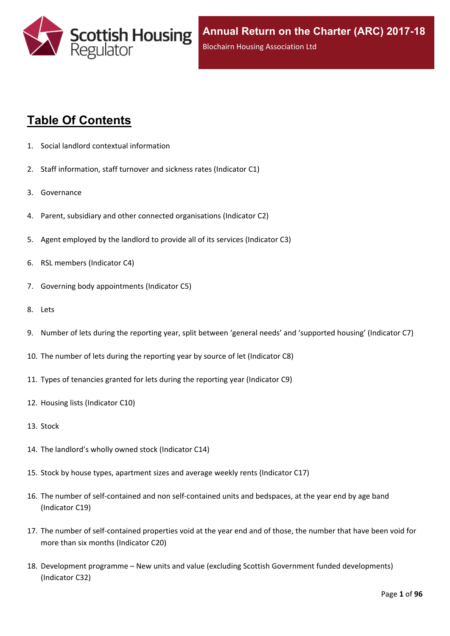

# **Table Of Contents**

- 1. Social landlord contextual [information](#page-5-0)
- 2. Staff [information,](#page-6-0) staff turnover and sickness rates (Indicator C1)
- 3. [Governance](#page-8-0)
- 4. Parent, subsidiary and other connected [organisations](#page-9-0) (Indicator C2)
- 5. Agent [employed](#page-10-0) by the landlord to provide all of its services (Indicator C3)
- 6. RSL members [\(Indicator](#page-11-0) C4)
- 7. Governing body [appointments](#page-12-0) (Indicator C5)
- 8. [Lets](#page-13-0)
- 9. Number of lets during the reporting year, split between 'general needs' and ['supported](#page-14-0) housing' (Indicator C7)
- 10. The number of lets during the reporting year by source of let [\(Indicator](#page-15-0) C8)
- 11. Types of tenancies granted for lets during the reporting year [\(Indicator](#page-16-0) C9)
- 12. Housing lists [\(Indicator](#page-17-0) C10)
- 13. [Stock](#page-18-0)
- 14. The [landlord's](#page-19-0) wholly owned stock (Indicator C14)
- 15. Stock by house types, [apartment](#page-20-0) sizes and average weekly rents (Indicator C17)
- 16. The number of self-contained and non [self-contained](#page-21-0) units and bedspaces, at the year end by age band [\(Indicator](#page-21-0) C19)
- 17. The number of [self-contained](#page-22-0) properties void at the year end and of those, the number that have been void for more than six months [\(Indicator](#page-22-0) C20)
- 18. [Development](#page-23-0) programme [–](#page-23-0) New units and value (excluding Scottish Government funded [developments\)](#page-23-0) [\(Indicator](#page-23-0) C32)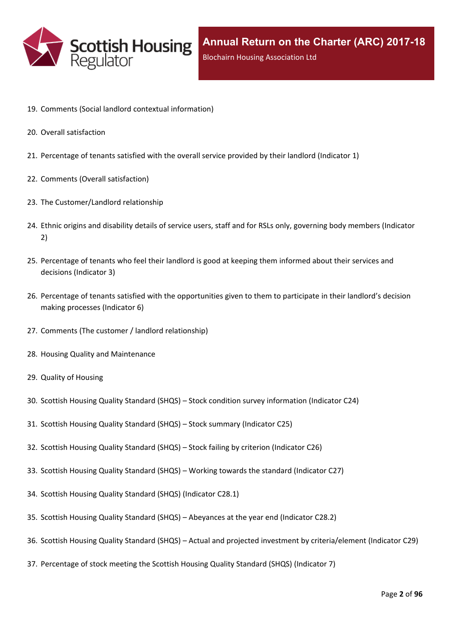

- 19. Comments (Social landlord contextual [information\)](#page-25-0)
- 20. Overall [satisfaction](#page-26-0)
- 21. [Percentage](#page-27-0) of tenants satisfied with the overall service provided by their landlord (Indicator 1)
- 22. Comments (Overall [satisfaction\)](#page-29-0)
- 23. The [Customer/Landlord](#page-30-0) relationship
- 24. Ethnic origins and disability details of service users, staff and for RSLs only, [governing](#page-31-0) body members (Indicator [2\)](#page-31-0)
- 25. [Percentage](#page-33-0) of tenants who feel their landlord is good at keeping them informed about their services and [decisions](#page-33-0) [\(Indicator](#page-33-0) 3)
- 26. Percentage of tenants satisfied with the [opportunities](#page-34-0) given to them to participate in their landlord's decision making [processes](#page-34-0) (Indicator 6)
- 27. Comments (The customer / landlord [relationship\)](#page-35-0)
- 28. Housing Quality and [Maintenance](#page-36-0)
- 29. Quality of [Housing](#page-37-0)
- 30. Scottish Housing Quality [Standard](#page-38-0) (SHQS) [–](#page-38-0) Stock condition survey [information](#page-38-0) (Indicator C24)
- 31. Scottish Housing Quality [Standard](#page-39-0) (SHQS) [–](#page-39-0) Stock summary [\(Indicator](#page-39-0) C25)
- 32. Scottish Housing Quality [Standard](#page-41-0) (SHQS) [–](#page-41-0) Stock failing by criterion [\(Indicator](#page-41-0) C26)
- 33. Scottish Housing Quality [Standard](#page-42-0) (SHQS) [–](#page-42-0) Working towards the standard [\(Indicator](#page-42-0) C27)
- 34. Scottish Housing Quality Standard (SHQS) [\(Indicator](#page-43-0) C28.1)
- 35. Scottish Housing Quality [Standard](#page-44-0) (SHQS) [–](#page-44-0) [Abeyances](#page-44-0) at the year end (Indicator C28.2)
- 36. Scottish Housing Quality [Standard](#page-45-0) (SHQS) [–](#page-45-0) Actual and projected investment by [criteria/element](#page-45-0) (Indicator C29)
- 37. [Percentage](#page-46-0) of stock meeting the Scottish Housing Quality Standard (SHQS) (Indicator 7)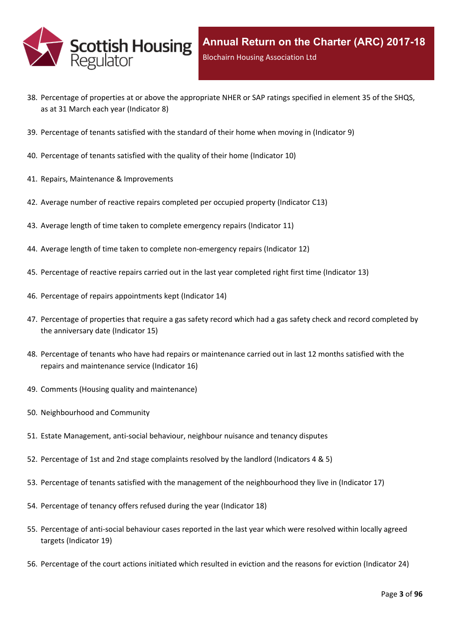

- 38. Percentage of properties at or above the [appropriate](#page-47-0) NHER or SAP ratings specified in element 35 of the SHQS, as at 31 March each year [\(Indicator](#page-47-0) 8)
- 39. [Percentage](#page-48-0) of tenants satisfied with the standard of their home when moving in (Indicator 9)
- 40. [Percentage](#page-49-0) of tenants satisfied with the quality of their home (Indicator 10)
- 41. Repairs, Maintenance & [Improvements](#page-50-0)
- 42. Average number of reactive repairs [completed](#page-51-0) per occupied property (Indicator C13)
- 43. Average length of time taken to complete [emergency](#page-52-0) repairs (Indicator 11)
- 44. Average length of time taken to complete [non-emergency](#page-53-0) repairs (Indicator 12)
- 45. [Percentage](#page-54-0) of reactive repairs carried out in the last year completed right first time (Indicator 13)
- 46. Percentage of repairs [appointments](#page-55-0) kept (Indicator 14)
- 47. [Percentage](#page-56-0) of properties that require a gas safety record which had a gas safety check and record completed by the [anniversary](#page-56-0) date (Indicator 15)
- 48. Percentage of tenants who have had repairs or [maintenance](#page-57-0) carried out in last 12 months satisfied with the repairs and [maintenance](#page-57-0) service (Indicator 16)
- 49. Comments (Housing quality and [maintenance\)](#page-58-0)
- 50. [Neighbourhood](#page-59-0) and Community
- 51. Estate [Management,](#page-60-0) anti-social behaviour, neighbour nuisance and tenancy disputes
- 52. [Percentage](#page-61-0) of 1st and 2nd stage complaints resolved by the landlord (Indicators 4 & 5)
- 53. Percentage of tenants satisfied with the management of the [neighbourhood](#page-64-0) they live in (Indicator 17)
- 54. [Percentage](#page-65-0) of tenancy offers refused during the year (Indicator 18)
- 55. [Percentage](#page-66-0) of anti-social behaviour cases reported in the last year which were resolved within locally agreed targets [\(Indicator](#page-66-0) 19)
- 56. [Percentage](#page-67-0) of the court actions initiated which resulted in eviction and the reasons for eviction (Indicator 24)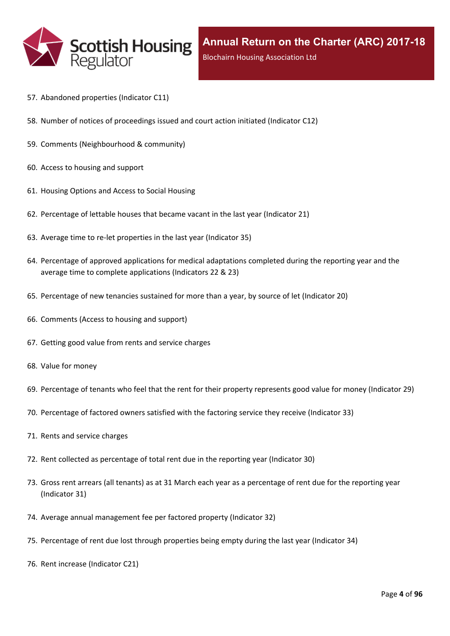

- 57. [Abandoned](#page-68-0) properties (Indicator C11)
- 58. Number of notices of [proceedings](#page-69-0) issued and court action initiated (Indicator C12)
- 59. Comments [\(Neighbourhood](#page-70-0) & community)
- 60. Access to [housing](#page-71-0) and support
- 61. [Housing](#page-72-0) Options and Access to Social Housing
- 62. [Percentage](#page-73-0) of lettable houses that became vacant in the last year (Indicator 21)
- 63. Average time to re-let [properties](#page-74-0) in the last year (Indicator 35)
- 64. Percentage of approved [applications](#page-75-0) for medical adaptations completed during the reporting year and the average time to complete [applications](#page-75-0) (Indicators 22 & 23)
- 65. [Percentage](#page-76-0) of new tenancies sustained for more than a year, by source of let (Indicator 20)
- 66. [Comments](#page-78-0) (Access to housing and support)
- 67. Getting good value from rents and service [charges](#page-79-0)
- 68. Value for [money](#page-80-0)
- 69. [Percentage](#page-81-0) of tenants who feel that the rent for their property represents good value for money (Indicator 29)
- 70. [Percentage](#page-82-0) of factored owners satisfied with the factoring service they receive (Indicator 33)
- 71. Rents and service [charges](#page-83-0)
- 72. Rent collected as [percentage](#page-84-0) of total rent due in the reporting year (Indicator 30)
- 73. Gross rent arrears (all tenants) as at 31 March each year as a [percentage](#page-85-0) of rent due for the reporting year [\(Indicator](#page-85-0) 31)
- 74. Average annual [management](#page-86-0) fee per factored property (Indicator 32)
- 75. [Percentage](#page-87-0) of rent due lost through properties being empty during the last year (Indicator 34)
- 76. Rent increase [\(Indicator](#page-88-0) C21)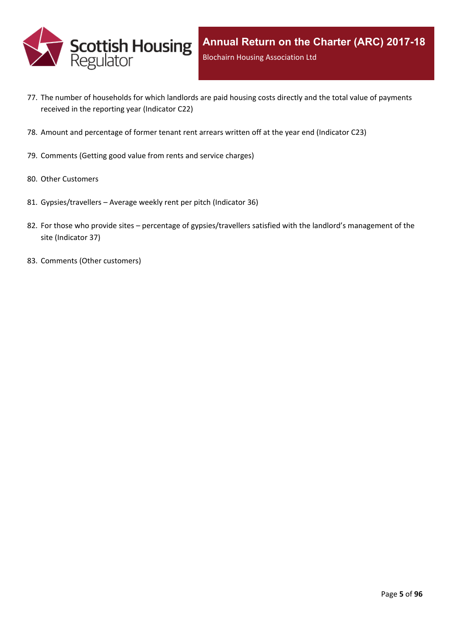

- 77. The number of [households](#page-89-0) for which landlords are paid housing costs directly and the total value of payments received in the reporting year [\(Indicator](#page-89-0) C22)
- 78. Amount and [percentage](#page-90-0) of former tenant rent arrears written off at the year end (Indicator C23)
- 79. [Comments](#page-91-0) (Getting good value from rents and service charges)
- 80. Other [Customers](#page-92-0)
- 81. [Gypsies/travellers](#page-93-0) [–](#page-93-0) Average weekly rent per pitch [\(Indicator](#page-93-0) 36)
- 82. For those who [provide](#page-94-0) sites [–](#page-94-0) percentage of [gypsies/travellers](#page-94-0) satisfied with the landlord's management of the site [\(Indicator](#page-94-0) 37)
- 83. Comments (Other [customers\)](#page-95-0)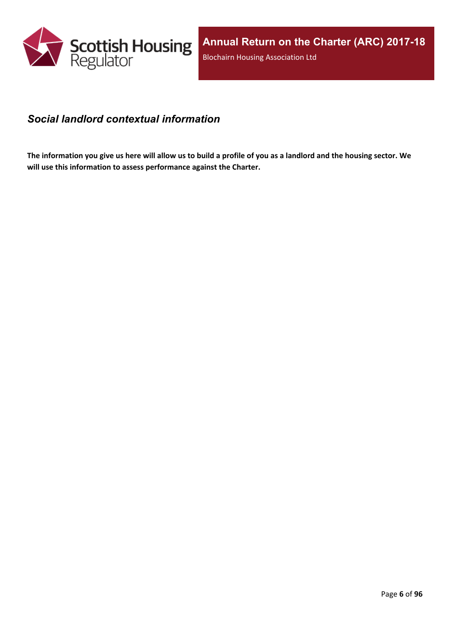

### <span id="page-5-0"></span>*Social landlord contextual information*

The information you give us here will allow us to build a profile of you as a landlord and the housing sector. We **will use this information to assess performance against the Charter.**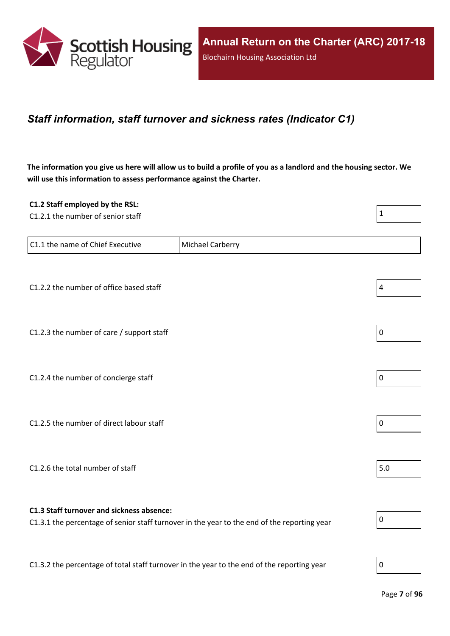

### <span id="page-6-0"></span>*Staff information, staff turnover and sickness rates (Indicator C1)*

The information you give us here will allow us to build a profile of you as a landlord and the housing sector. We **will use this information to assess performance against the Charter.**

| C1.2 Staff employed by the RSL:                                                            |                                                                                             |              |
|--------------------------------------------------------------------------------------------|---------------------------------------------------------------------------------------------|--------------|
| C1.2.1 the number of senior staff                                                          |                                                                                             | $\mathbf{1}$ |
|                                                                                            |                                                                                             |              |
| C1.1 the name of Chief Executive                                                           | <b>Michael Carberry</b>                                                                     |              |
|                                                                                            |                                                                                             |              |
| C1.2.2 the number of office based staff                                                    |                                                                                             | $\pmb{4}$    |
|                                                                                            |                                                                                             |              |
| C1.2.3 the number of care / support staff                                                  |                                                                                             | $\mathbf 0$  |
|                                                                                            |                                                                                             |              |
| C1.2.4 the number of concierge staff                                                       |                                                                                             | $\pmb{0}$    |
|                                                                                            |                                                                                             |              |
|                                                                                            |                                                                                             |              |
| C1.2.5 the number of direct labour staff                                                   |                                                                                             | $\mathbf 0$  |
|                                                                                            |                                                                                             |              |
| C1.2.6 the total number of staff                                                           |                                                                                             | 5.0          |
|                                                                                            |                                                                                             |              |
| C1.3 Staff turnover and sickness absence:                                                  | C1.3.1 the percentage of senior staff turnover in the year to the end of the reporting year | $\pmb{0}$    |
|                                                                                            |                                                                                             |              |
|                                                                                            |                                                                                             |              |
| C1.3.2 the percentage of total staff turnover in the year to the end of the reporting year |                                                                                             | $\mathbf 0$  |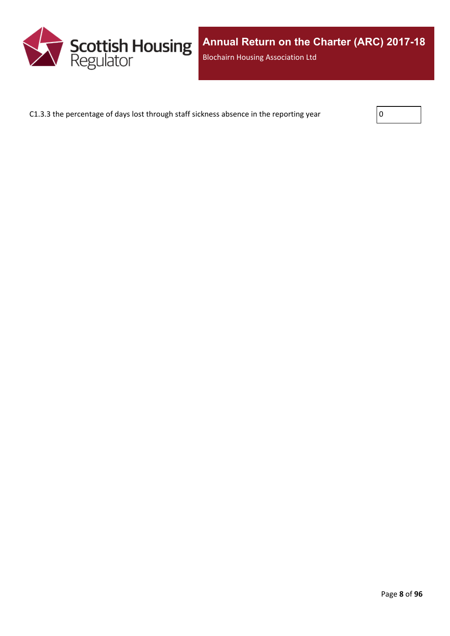

C1.3.3 the percentage of days lost through staff sickness absence in the reporting year

| I<br>$\mathbf{r}$ |  |  |
|-------------------|--|--|
|                   |  |  |
|                   |  |  |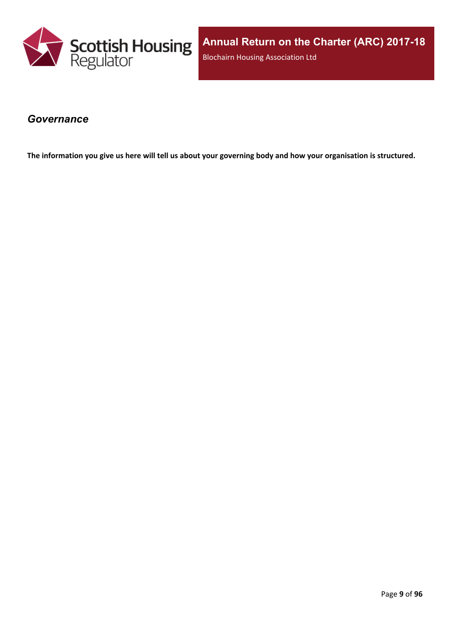

**Annual Return on the Charter (ARC) 2017-18** Blochairn Housing Association Ltd

#### <span id="page-8-0"></span>*Governance*

The information you give us here will tell us about your governing body and how your organisation is structured.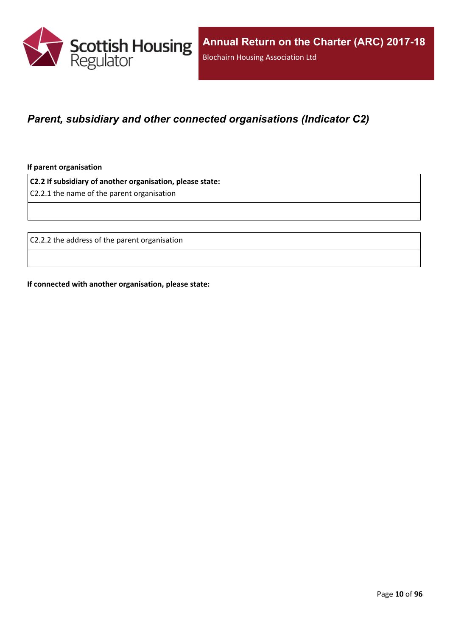

## <span id="page-9-0"></span>*Parent, subsidiary and other connected organisations (Indicator C2)*

**If parent organisation**

**C2.2 If subsidiary of another organisation, please state:**

C2.2.1 the name of the parent organisation

C2.2.2 the address of the parent organisation

**If connected with another organisation, please state:**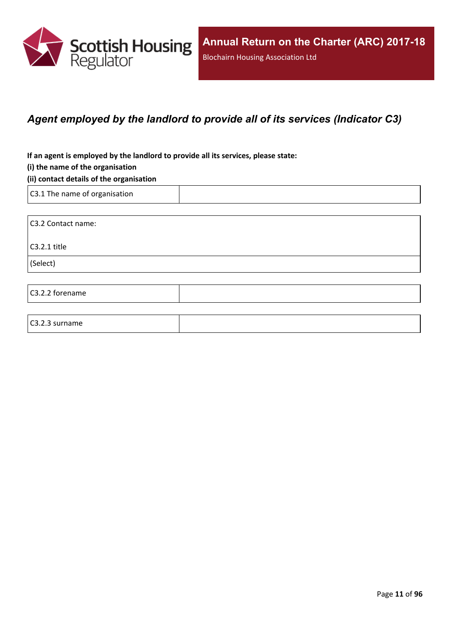

## <span id="page-10-0"></span>*Agent employed by the landlord to provide all of its services (Indicator C3)*

**If an agent is employed by the landlord to provide all its services, please state:**

#### **(i) the name of the organisation**

#### **(ii) contact details of the organisation**

C3.1 The name of organisation

C3.2.3 surname

C3.2 Contact name: C3.2.1 title (Select) C3.2.2 forename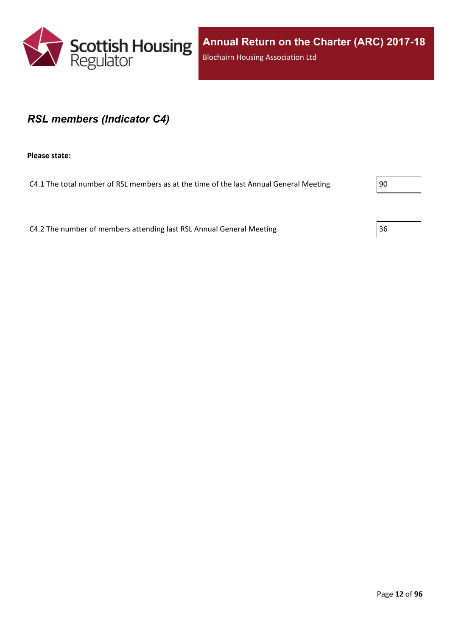

### <span id="page-11-0"></span>*RSL members (Indicator C4)*

**Please state:**

C4.1 The total number of RSL members as at the time of the last Annual General Meeting  $\vert$ 90

C4.2 The number of members attending last RSL Annual General Meeting 36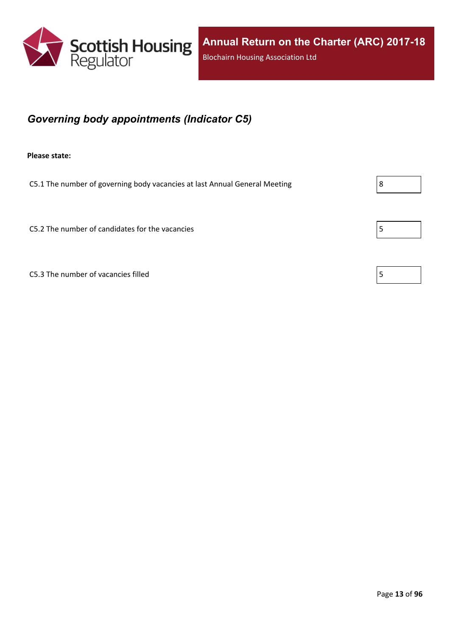

## <span id="page-12-0"></span>*Governing body appointments (Indicator C5)*

**Please state:**

C5.1 The number of governing body vacancies at last Annual General Meeting  $\vert 8 \vert$ 

C5.2 The number of candidates for the vacancies  $\vert$  5

C5.3 The number of vacancies filled  $\vert$  5

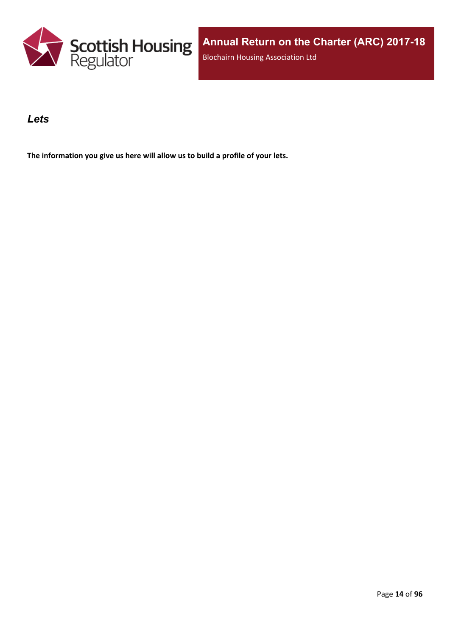

### <span id="page-13-0"></span>*Lets*

**The information you give us here will allow us to build a profile of your lets.**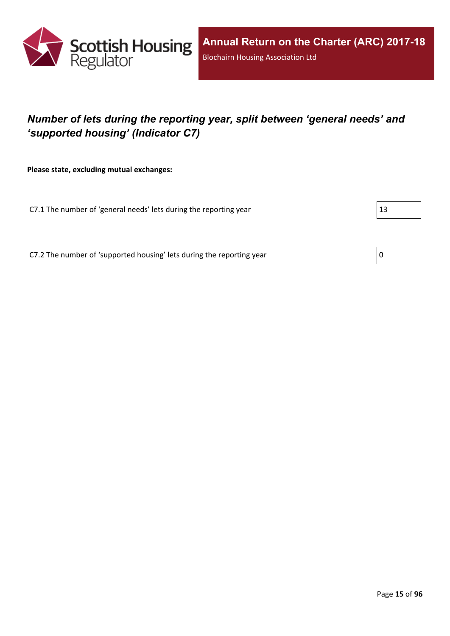

## <span id="page-14-0"></span>*Number of lets during the reporting year, split between 'general needs' and 'supported housing' (Indicator C7)*

**Please state, excluding mutual exchanges:**

C7.1 The number of 'general needs' lets during the reporting year  $|13|$ 

C7.2 The number of 'supported housing' lets during the reporting year  $\vert 0 \rangle$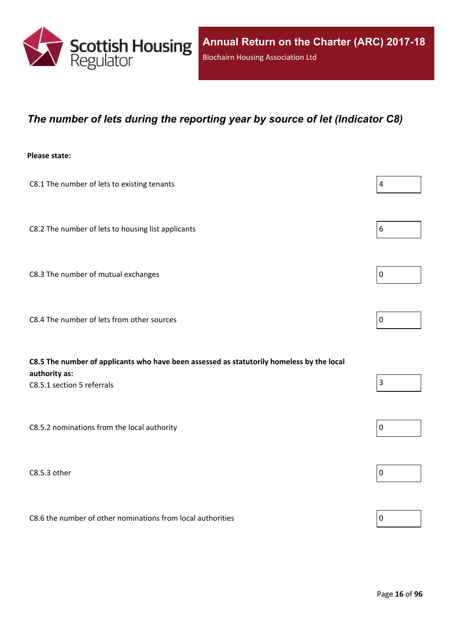

### <span id="page-15-0"></span>*The number of lets during the reporting year by source of let (Indicator C8)*

#### **Please state:**

| C8.1 The number of lets to existing tenants                                                                | 4           |
|------------------------------------------------------------------------------------------------------------|-------------|
| C8.2 The number of lets to housing list applicants                                                         | $6\,$       |
| C8.3 The number of mutual exchanges                                                                        | $\mathbf 0$ |
| C8.4 The number of lets from other sources                                                                 | $\mathbf 0$ |
| C8.5 The number of applicants who have been assessed as statutorily homeless by the local<br>authority as: |             |
| C8.5.1 section 5 referrals                                                                                 | 3           |
| C8.5.2 nominations from the local authority                                                                | $\mathbf 0$ |

 $\Box$ C8.5.3 other  $\Box$ 

C8.6 the number of other nominations from local authorities  $\vert_0$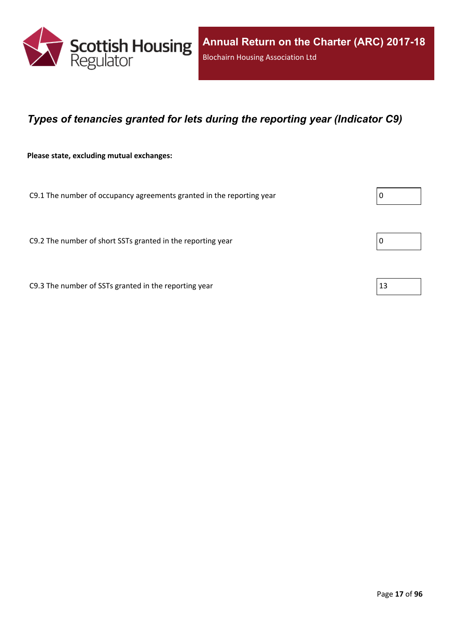

## <span id="page-16-0"></span>*Types of tenancies granted for lets during the reporting year (Indicator C9)*

**Please state, excluding mutual exchanges:**

C9.1 The number of occupancy agreements granted in the reporting year  $\vert 0 \rangle$ 

C9.2 The number of short SSTs granted in the reporting year  $\vert$  0

C9.3 The number of SSTs granted in the reporting year  $|13|$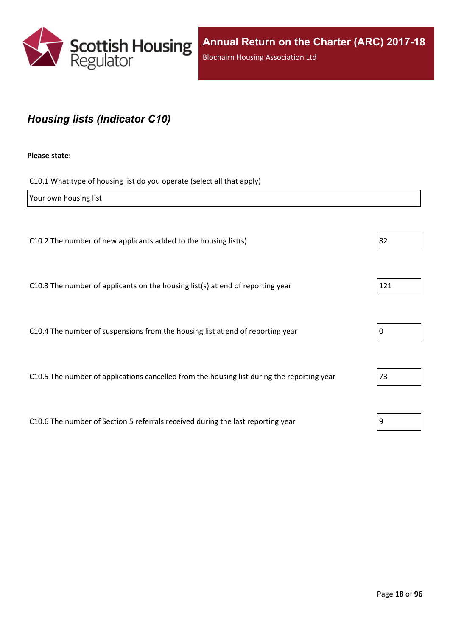

## <span id="page-17-0"></span>*Housing lists (Indicator C10)*

#### **Please state:**

C10.1 What type of housing list do you operate (select all that apply)

| Your own housing list                                                                      |     |
|--------------------------------------------------------------------------------------------|-----|
|                                                                                            |     |
| C10.2 The number of new applicants added to the housing list(s)                            | 82  |
|                                                                                            |     |
| C10.3 The number of applicants on the housing list(s) at end of reporting year             | 121 |
| C10.4 The number of suspensions from the housing list at end of reporting year             | 0   |
|                                                                                            |     |
| C10.5 The number of applications cancelled from the housing list during the reporting year | 73  |
|                                                                                            |     |
| C10.6 The number of Section 5 referrals received during the last reporting year            | 9   |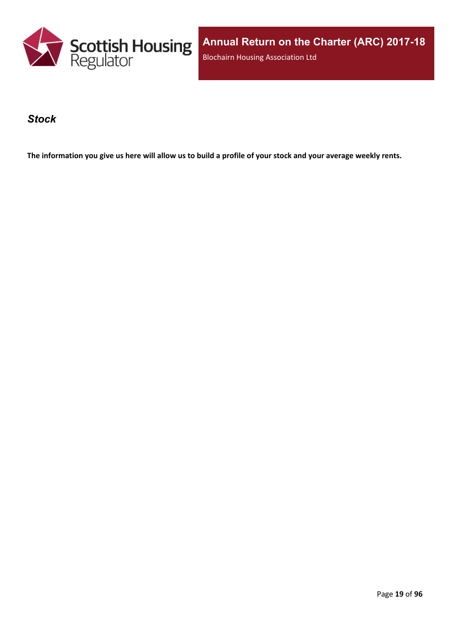

**Annual Return on the Charter (ARC) 2017-18** Blochairn Housing Association Ltd

#### <span id="page-18-0"></span>*Stock*

The information you give us here will allow us to build a profile of your stock and your average weekly rents.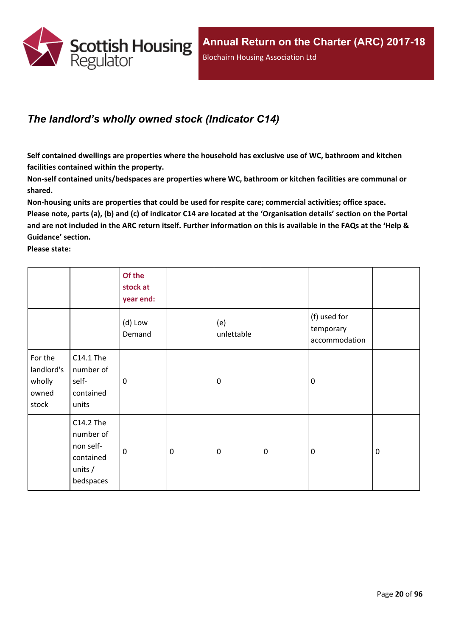

## <span id="page-19-0"></span>*The landlord's wholly owned stock (Indicator C14)*

**Self contained dwellings are properties where the household has exclusive use of WC, bathroom and kitchen facilities contained within the property.**

**Non-self contained units/bedspaces are properties where WC, bathroom or kitchen facilities are communal or shared.**

**Non-housing units are properties that could be used for respite care; commercial activities; office space.** Please note, parts (a), (b) and (c) of indicator C14 are located at the 'Organisation details' section on the Portal and are not included in the ARC return itself. Further information on this is available in the FAQs at the 'Help & **Guidance' section.**

**Please state:**

|                                                   |                                                                            | Of the<br>stock at<br>year end: |                  |                   |           |                                            |             |
|---------------------------------------------------|----------------------------------------------------------------------------|---------------------------------|------------------|-------------------|-----------|--------------------------------------------|-------------|
|                                                   |                                                                            | (d) Low<br>Demand               |                  | (e)<br>unlettable |           | (f) used for<br>temporary<br>accommodation |             |
| For the<br>landlord's<br>wholly<br>owned<br>stock | C14.1 The<br>number of<br>self-<br>contained<br>units                      | 0                               |                  | $\mathbf 0$       |           | $\mathbf 0$                                |             |
|                                                   | C14.2 The<br>number of<br>non self-<br>contained<br>units $/$<br>bedspaces | $\mathbf 0$                     | $\boldsymbol{0}$ | $\boldsymbol{0}$  | $\pmb{0}$ | $\mathbf 0$                                | $\mathbf 0$ |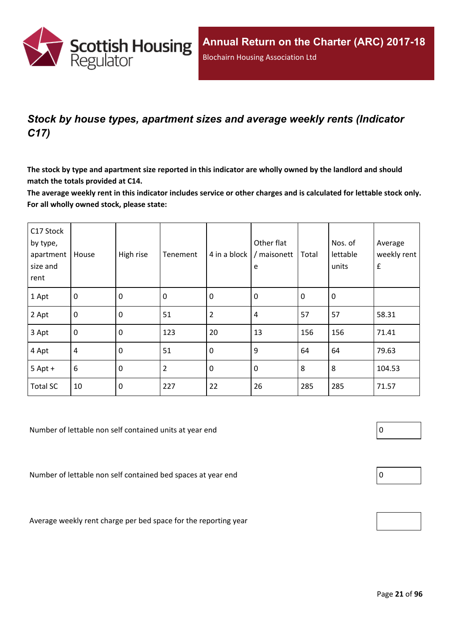

## <span id="page-20-0"></span>*Stock by house types, apartment sizes and average weekly rents (Indicator C17)*

The stock by type and apartment size reported in this indicator are wholly owned by the landlord and should **match the totals provided at C14.**

The average weekly rent in this indicator includes service or other charges and is calculated for lettable stock only. **For all wholly owned stock, please state:**

| C17 Stock<br>by type,<br>apartment<br>size and<br>rent | House          | High rise   | Tenement       | 4 in a block   | Other flat<br>/ maisonett<br>e | Total       | Nos. of<br>lettable<br>units | Average<br>weekly rent<br>$\pmb{\mathsf{f}}$ |
|--------------------------------------------------------|----------------|-------------|----------------|----------------|--------------------------------|-------------|------------------------------|----------------------------------------------|
| 1 Apt                                                  | $\overline{0}$ | $\mathbf 0$ | 0              | $\mathbf 0$    | $\mathbf 0$                    | $\mathbf 0$ | 0                            |                                              |
| 2 Apt                                                  | $\overline{0}$ | $\mathbf 0$ | 51             | $\overline{2}$ | 4                              | 57          | 57                           | 58.31                                        |
| 3 Apt                                                  | $\overline{0}$ | $\mathbf 0$ | 123            | 20             | 13                             | 156         | 156                          | 71.41                                        |
| 4 Apt                                                  | $\overline{4}$ | $\mathbf 0$ | 51             | $\mathbf 0$    | 9                              | 64          | 64                           | 79.63                                        |
| $5$ Apt +                                              | $6\,$          | $\mathbf 0$ | $\overline{2}$ | $\mathbf 0$    | $\mathbf 0$                    | 8           | 8                            | 104.53                                       |
| <b>Total SC</b>                                        | 10             | $\mathbf 0$ | 227            | 22             | 26                             | 285         | 285                          | 71.57                                        |

Number of lettable non self contained units at year end  $\vert 0 \vert$ 

Number of lettable non self contained bed spaces at year end

Average weekly rent charge per bed space for the reporting year



| 0 |  |  |  |
|---|--|--|--|
|   |  |  |  |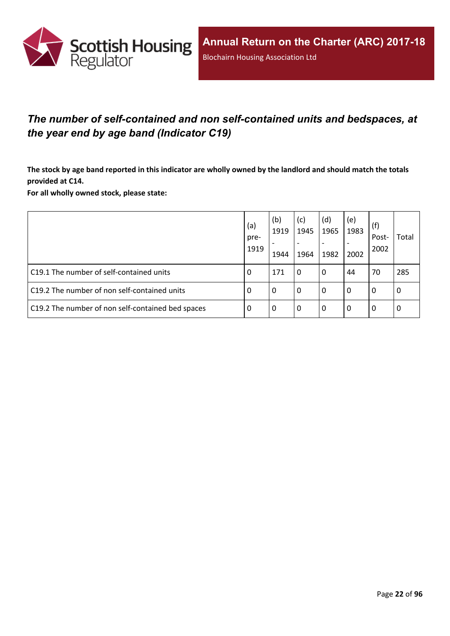

## <span id="page-21-0"></span>*The number of self-contained and non self-contained units and bedspaces, at the year end by age band (Indicator C19)*

The stock by age band reported in this indicator are wholly owned by the landlord and should match the totals **provided at C14.**

**For all wholly owned stock, please state:**

|                                                   | (a)<br>pre-<br>1919 | (b)<br>1919<br>1944 | (c)<br>1945<br>$\overline{\phantom{a}}$<br>1964 | (d)<br>1965<br>1982 | (e)<br>1983<br>2002 | (f)<br>Post-<br>2002 | Total |
|---------------------------------------------------|---------------------|---------------------|-------------------------------------------------|---------------------|---------------------|----------------------|-------|
| C19.1 The number of self-contained units          | 0                   | 171                 | l 0                                             | 0                   | 44                  | 70                   | 285   |
| C19.2 The number of non self-contained units      | -0                  | 0                   | l 0                                             | 0                   | $\Omega$            | 0                    | l 0   |
| C19.2 The number of non self-contained bed spaces | -0                  | 0                   | l 0                                             | 0                   | 0                   | 0                    | l 0   |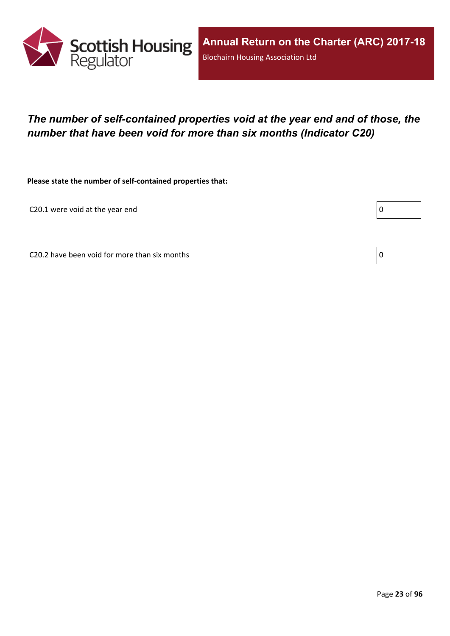

## <span id="page-22-0"></span>*The number of self-contained properties void at the year end and of those, the number that have been void for more than six months (Indicator C20)*

**Please state the number of self-contained properties that:**

C20.1 were void at the year end

Г

C20.2 have been void for more than six months  $\vert 0 \rangle$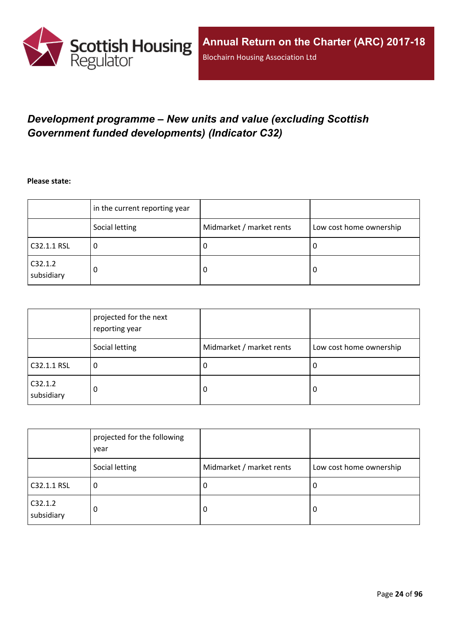

## <span id="page-23-0"></span>*Development programme – New units and value (excluding Scottish Government funded developments) (Indicator C32)*

**Please state:**

|                       | in the current reporting year |                          |                         |
|-----------------------|-------------------------------|--------------------------|-------------------------|
|                       | Social letting                | Midmarket / market rents | Low cost home ownership |
| C32.1.1 RSL           | u                             | υ                        | ∣U                      |
| C32.1.2<br>subsidiary | 0                             | υ                        | O                       |

|                       | projected for the next<br>reporting year |                          |                         |
|-----------------------|------------------------------------------|--------------------------|-------------------------|
|                       | Social letting                           | Midmarket / market rents | Low cost home ownership |
| C32.1.1 RSL           | 0                                        | J.                       | 0                       |
| C32.1.2<br>subsidiary | 0                                        | 0                        | 0                       |

|                       | projected for the following<br>year |                          |                         |
|-----------------------|-------------------------------------|--------------------------|-------------------------|
|                       | Social letting                      | Midmarket / market rents | Low cost home ownership |
| C32.1.1 RSL           | υ                                   | -U                       | 0                       |
| C32.1.2<br>subsidiary | 0                                   | -0                       | 0                       |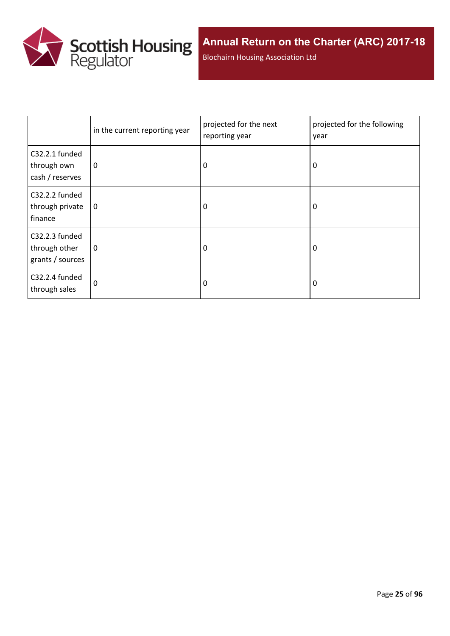

Blochairn Housing Association Ltd

|                                                     | in the current reporting year | projected for the next<br>reporting year | projected for the following<br>year |  |
|-----------------------------------------------------|-------------------------------|------------------------------------------|-------------------------------------|--|
| C32.2.1 funded<br>through own<br>cash / reserves    | 0                             | 0                                        | 0                                   |  |
| C32.2.2 funded<br>through private<br>finance        | 0                             | 0                                        | 0                                   |  |
| C32.2.3 funded<br>through other<br>grants / sources | 0                             | $\Omega$                                 | 0                                   |  |
| C32.2.4 funded<br>through sales                     | 0                             | 0                                        | 0                                   |  |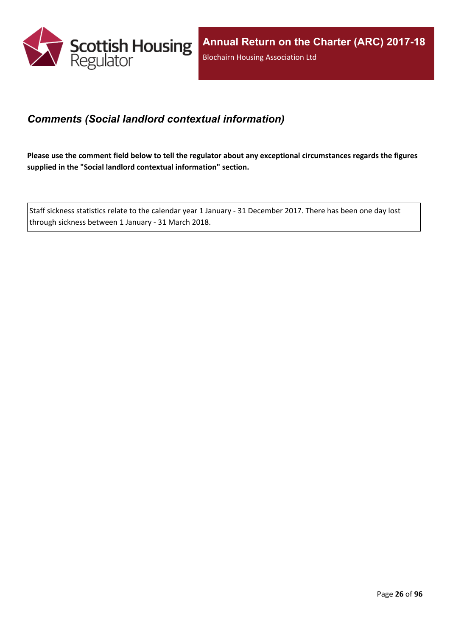

## <span id="page-25-0"></span>*Comments (Social landlord contextual information)*

Please use the comment field below to tell the regulator about any exceptional circumstances regards the figures **supplied in the "Social landlord contextual information" section.**

Staff sickness statistics relate to the calendar year 1 January - 31 December 2017. There has been one day lost through sickness between 1 January - 31 March 2018.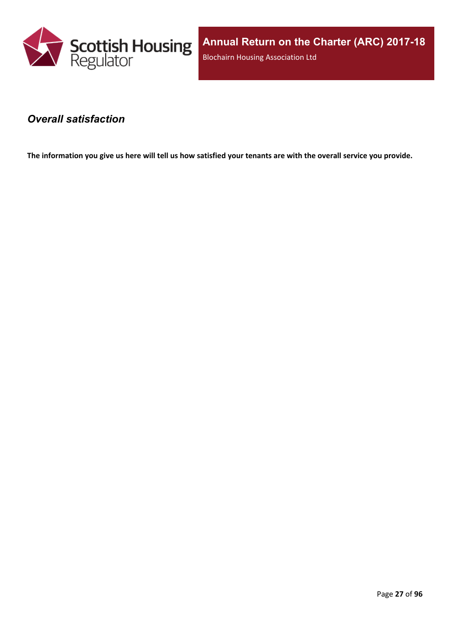

**Annual Return on the Charter (ARC) 2017-18** Blochairn Housing Association Ltd

### <span id="page-26-0"></span>*Overall satisfaction*

The information you give us here will tell us how satisfied your tenants are with the overall service you provide.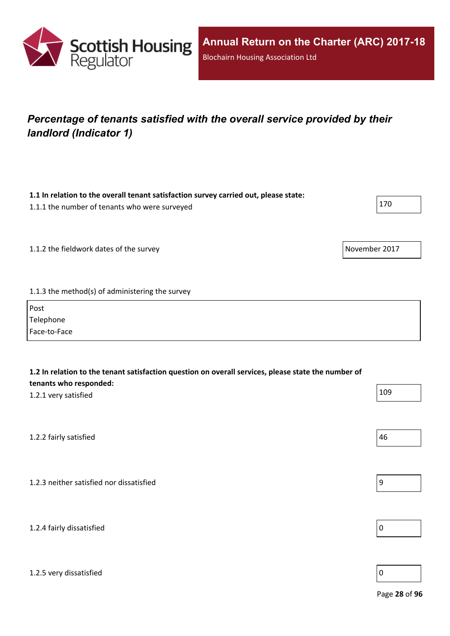

## <span id="page-27-0"></span>*Percentage of tenants satisfied with the overall service provided by their landlord (Indicator 1)*

**1.1 In relation to the overall tenant satisfaction survey carried out, please state:**

| 1.1.1 the number of tenants who were surveyed   | 170           |
|-------------------------------------------------|---------------|
|                                                 |               |
| 1.1.2 the fieldwork dates of the survey         | November 2017 |
|                                                 |               |
| 1.1.3 the method(s) of administering the survey |               |

| Post         |
|--------------|
| Telephone    |
| Face-to-Face |

| 1.2 In relation to the tenant satisfaction question on overall services, please state the number of<br>tenants who responded: |    |  |  |
|-------------------------------------------------------------------------------------------------------------------------------|----|--|--|
| 109<br>1.2.1 very satisfied                                                                                                   |    |  |  |
|                                                                                                                               |    |  |  |
| 1.2.2 fairly satisfied                                                                                                        | 46 |  |  |
|                                                                                                                               |    |  |  |
| 1.2.3 neither satisfied nor dissatisfied                                                                                      | 9  |  |  |
|                                                                                                                               |    |  |  |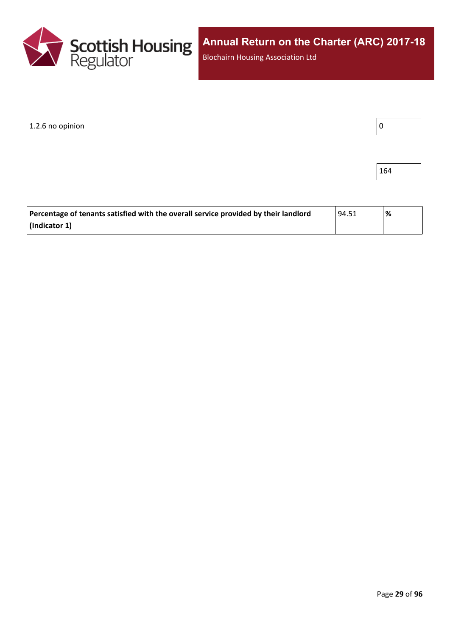

1.2.6 no opinion

164

| Percentage of tenants satisfied with the overall service provided by their landlord | 194.51 | % |
|-------------------------------------------------------------------------------------|--------|---|
| (Indicator 1)                                                                       |        |   |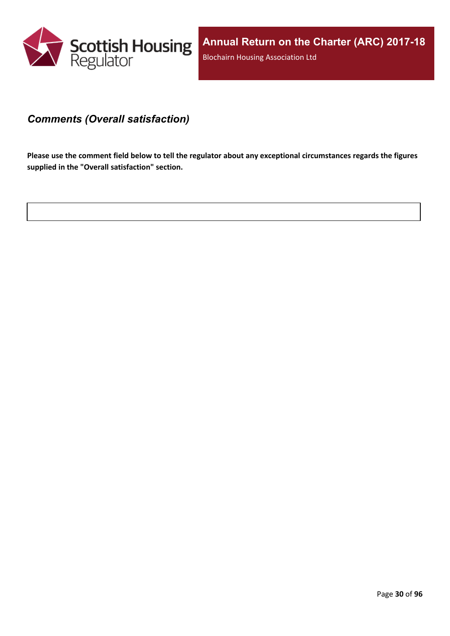

### <span id="page-29-0"></span>*Comments (Overall satisfaction)*

Please use the comment field below to tell the regulator about any exceptional circumstances regards the figures **supplied in the "Overall satisfaction" section.**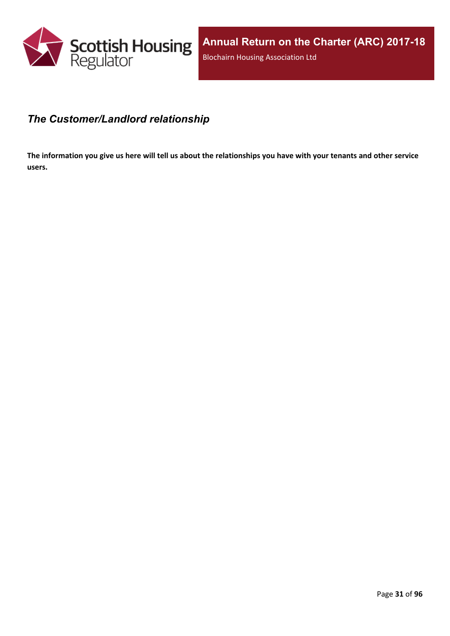

## <span id="page-30-0"></span>*The Customer/Landlord relationship*

The information you give us here will tell us about the relationships you have with your tenants and other service **users.**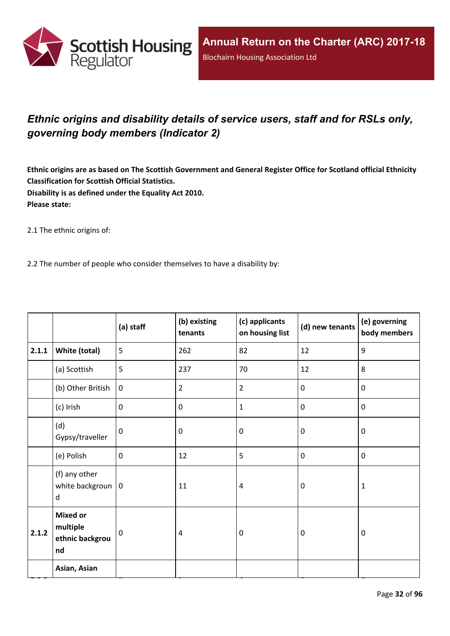

## <span id="page-31-0"></span>*Ethnic origins and disability details of service users, staff and for RSLs only, governing body members (Indicator 2)*

Ethnic origins are as based on The Scottish Government and General Register Office for Scotland official Ethnicity **Classification for Scottish Official Statistics. Disability is as defined under the Equality Act 2010. Please state:**

2.1 The ethnic origins of:

2.2 The number of people who consider themselves to have a disability by:

|       |                                                      | (a) staff   | (b) existing<br>tenants | (c) applicants<br>on housing list | (d) new tenants | (e) governing<br>body members |
|-------|------------------------------------------------------|-------------|-------------------------|-----------------------------------|-----------------|-------------------------------|
| 2.1.1 | <b>White (total)</b>                                 | 5           | 262                     | 82                                | 12              | $9\,$                         |
|       | (a) Scottish                                         | 5           | 237                     | 70                                | 12              | 8                             |
|       | (b) Other British                                    | $\mathbf 0$ | $\overline{2}$          | $\overline{2}$                    | $\mathbf 0$     | $\mathbf 0$                   |
|       | (c) Irish                                            | $\mathbf 0$ | 0                       | $\mathbf{1}$                      | $\pmb{0}$       | $\mathbf 0$                   |
|       | (d)<br>Gypsy/traveller                               | $\mathbf 0$ | 0                       | $\mathbf 0$                       | $\mathbf 0$     | $\mathbf 0$                   |
|       | (e) Polish                                           | $\mathbf 0$ | 12                      | 5                                 | $\pmb{0}$       | $\pmb{0}$                     |
|       | (f) any other<br>white backgroun $ 0$<br>d           |             | 11                      | $\overline{a}$                    | $\mathbf 0$     | $\mathbf{1}$                  |
| 2.1.2 | <b>Mixed or</b><br>multiple<br>ethnic backgrou<br>nd | $\mathbf 0$ | 4                       | $\mathbf 0$                       | $\mathbf 0$     | $\mathbf 0$                   |
|       | Asian, Asian                                         |             |                         |                                   |                 |                               |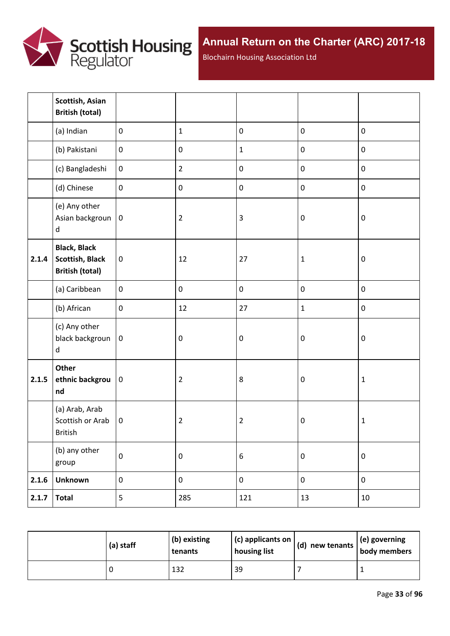

Blochairn Housing Association Ltd

|       | Scottish, Asian<br><b>British (total)</b>                               |                  |                |                  |                  |             |
|-------|-------------------------------------------------------------------------|------------------|----------------|------------------|------------------|-------------|
|       | (a) Indian                                                              | $\mathbf 0$      | $\mathbf{1}$   | $\pmb{0}$        | $\pmb{0}$        | $\pmb{0}$   |
|       | (b) Pakistani                                                           | $\boldsymbol{0}$ | $\pmb{0}$      | $\mathbf 1$      | $\pmb{0}$        | $\pmb{0}$   |
|       | (c) Bangladeshi                                                         | $\boldsymbol{0}$ | $\overline{2}$ | $\pmb{0}$        | $\pmb{0}$        | $\pmb{0}$   |
|       | (d) Chinese                                                             | $\mathbf 0$      | $\pmb{0}$      | $\mathbf 0$      | $\mathbf 0$      | $\pmb{0}$   |
|       | (e) Any other<br>Asian backgroun<br>$\sf d$                             | $\pmb{0}$        | $\overline{2}$ | $\overline{3}$   | $\boldsymbol{0}$ | $\pmb{0}$   |
| 2.1.4 | <b>Black, Black</b><br><b>Scottish, Black</b><br><b>British (total)</b> | $\pmb{0}$        | 12             | 27               | $\mathbf{1}$     | $\pmb{0}$   |
|       | (a) Caribbean                                                           | $\mathbf 0$      | $\pmb{0}$      | $\pmb{0}$        | $\pmb{0}$        | $\pmb{0}$   |
|       | (b) African                                                             | $\mathbf 0$      | 12             | 27               | $\mathbf{1}$     | $\pmb{0}$   |
|       | (c) Any other<br>black backgroun<br>d                                   | $\mathbf 0$      | $\pmb{0}$      | $\pmb{0}$        | $\boldsymbol{0}$ | $\pmb{0}$   |
| 2.1.5 | Other<br>ethnic backgrou<br>nd                                          | $\pmb{0}$        | $\overline{2}$ | 8                | $\boldsymbol{0}$ | $\mathbf 1$ |
|       | (a) Arab, Arab<br>Scottish or Arab<br>British                           | $\mathbf 0$      | $\overline{2}$ | $\mathbf 2$      | $\pmb{0}$        | $\mathbf 1$ |
|       | (b) any other<br>group                                                  | $\pmb{0}$        | $\pmb{0}$      | $\boldsymbol{6}$ | $\pmb{0}$        | $\pmb{0}$   |
| 2.1.6 | <b>Unknown</b>                                                          | $\pmb{0}$        | $\pmb{0}$      | $\pmb{0}$        | $\pmb{0}$        | $\pmb{0}$   |
| 2.1.7 | <b>Total</b>                                                            | 5                | 285            | 121              | 13               | $10\,$      |

| (a) staff | (b) existing<br>tenants | $\vert$ (c) applicants on<br>housing list | $\vert$ (d) new tenants $\vert$ . | $\vert$ (e) governing<br>body members |
|-----------|-------------------------|-------------------------------------------|-----------------------------------|---------------------------------------|
|           | 132                     | 39                                        |                                   |                                       |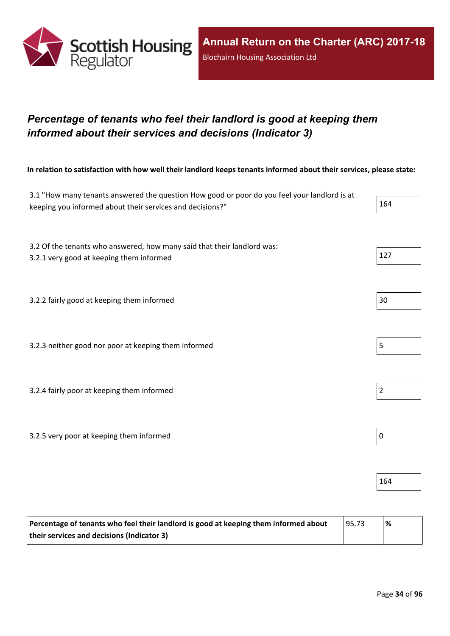

## <span id="page-33-0"></span>*Percentage of tenants who feel their landlord is good at keeping them informed about their services and decisions (Indicator 3)*

In relation to satisfaction with how well their landlord keeps tenants informed about their services, please state:

| 3.1 "How many tenants answered the question How good or poor do you feel your landlord is at<br>keeping you informed about their services and decisions?" | 164            |
|-----------------------------------------------------------------------------------------------------------------------------------------------------------|----------------|
| 3.2 Of the tenants who answered, how many said that their landlord was:<br>3.2.1 very good at keeping them informed                                       | 127            |
| 3.2.2 fairly good at keeping them informed                                                                                                                | 30             |
| 3.2.3 neither good nor poor at keeping them informed                                                                                                      | 5              |
| 3.2.4 fairly poor at keeping them informed                                                                                                                | $\overline{2}$ |
| 3.2.5 very poor at keeping them informed                                                                                                                  | $\pmb{0}$      |
|                                                                                                                                                           | 164            |

| Percentage of tenants who feel their landlord is good at keeping them informed about | 95.73 | % |
|--------------------------------------------------------------------------------------|-------|---|
| their services and decisions (Indicator 3)                                           |       |   |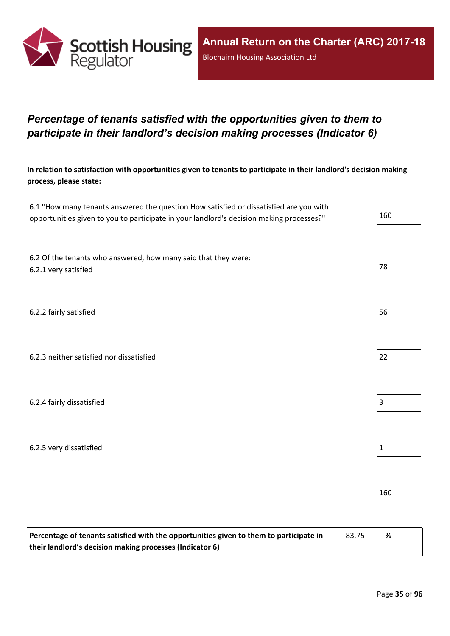

## <span id="page-34-0"></span>*Percentage of tenants satisfied with the opportunities given to them to participate in their landlord's decision making processes (Indicator 6)*

In relation to satisfaction with opportunities given to tenants to participate in their landlord's decision making **process, please state:**

| 6.1 "How many tenants answered the question How satisfied or dissatisfied are you with   |     |
|------------------------------------------------------------------------------------------|-----|
| opportunities given to you to participate in your landlord's decision making processes?" | 160 |

6.2 Of the tenants who answered, how many said that they were: 6.2.1 very satisfied and the set of the set of the set of the set of the set of the set of the set of the set of the set of the set of the set of the set of the set of the set of the set of the set of the set of the set of

6.2.2 fairly satisfied 56

6.2.3 neither satisfied nor dissatisfied 22

6.2.4 fairly dissatisfied  $\vert$  3

6.2.5 very dissatisfied and the set of the set of the set of the set of the set of the set of the set of the set of the set of the set of the set of the set of the set of the set of the set of the set of the set of the set

| Percentage of tenants satisfied with the opportunities given to them to participate in | 83.75 | '% |
|----------------------------------------------------------------------------------------|-------|----|
| their landlord's decision making processes (Indicator 6)                               |       |    |

160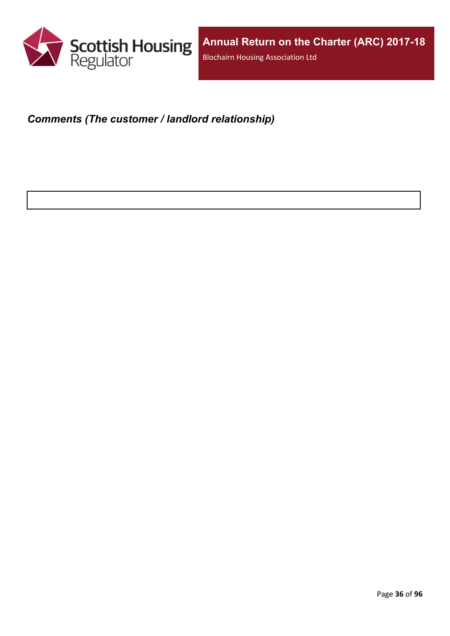

## <span id="page-35-0"></span>*Comments (The customer / landlord relationship)*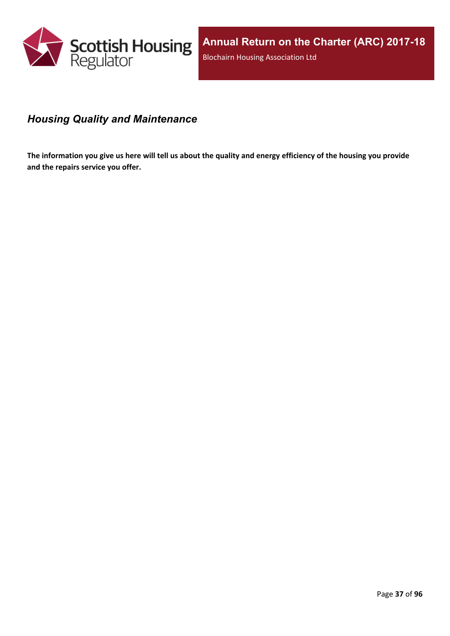

# *Housing Quality and Maintenance*

The information you give us here will tell us about the quality and energy efficiency of the housing you provide **and the repairs service you offer.**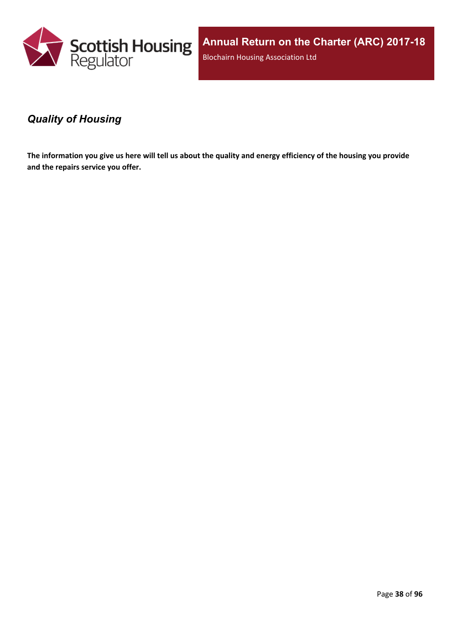

**Annual Return on the Charter (ARC) 2017-18** Blochairn Housing Association Ltd

### *Quality of Housing*

The information you give us here will tell us about the quality and energy efficiency of the housing you provide **and the repairs service you offer.**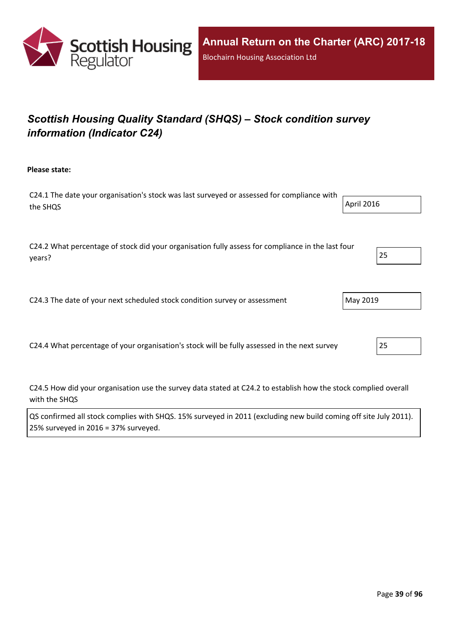

# *Scottish Housing Quality Standard (SHQS) – Stock condition survey information (Indicator C24)*

**Please state:**

| C24.1 The date your organisation's stock was last surveyed or assessed for compliance with $\overline{1}$ |            |
|-----------------------------------------------------------------------------------------------------------|------------|
| the SHQS                                                                                                  | April 2016 |
|                                                                                                           |            |

C24.2 What percentage of stock did your organisation fully assess for compliance in the last four years? 25

C24.3 The date of your next scheduled stock condition survey or assessment  $\vert$  May 2019

C24.4 What percentage of your organisation's stock will be fully assessed in the next survey 25

C24.5 How did your organisation use the survey data stated at C24.2 to establish how the stock complied overall with the SHQS

| QS confirmed all stock complies with SHQS. 15% surveyed in 2011 (excluding new build coming off site July 2011). |  |
|------------------------------------------------------------------------------------------------------------------|--|
| 25% surveyed in 2016 = 37% surveyed.                                                                             |  |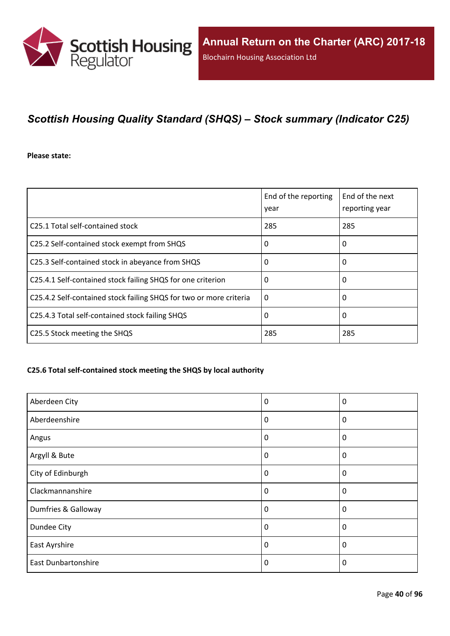

# *Scottish Housing Quality Standard (SHQS) – Stock summary (Indicator C25)*

**Please state:**

|                                                                    | End of the reporting<br>year | End of the next<br>reporting year |
|--------------------------------------------------------------------|------------------------------|-----------------------------------|
| C <sub>25.1</sub> Total self-contained stock                       | 285                          | 285                               |
| C25.2 Self-contained stock exempt from SHQS                        | 0                            | 0                                 |
| C25.3 Self-contained stock in abeyance from SHQS                   | 0                            | 0                                 |
| C25.4.1 Self-contained stock failing SHQS for one criterion        | 0                            | 0                                 |
| C25.4.2 Self-contained stock failing SHQS for two or more criteria | $\Omega$                     | 0                                 |
| C25.4.3 Total self-contained stock failing SHQS                    | 0                            | 0                                 |
| C25.5 Stock meeting the SHQS                                       | 285                          | 285                               |

#### **C25.6 Total self-contained stock meeting the SHQS by local authority**

| Aberdeen City              | 0 | 0            |
|----------------------------|---|--------------|
| Aberdeenshire              | 0 | 0            |
| Angus                      | 0 | $\mathbf{0}$ |
| Argyll & Bute              | 0 | 0            |
| City of Edinburgh          | 0 | 0            |
| Clackmannanshire           | 0 | 0            |
| Dumfries & Galloway        | 0 | 0            |
| Dundee City                | 0 | 0            |
| East Ayrshire              | 0 | 0            |
| <b>East Dunbartonshire</b> | 0 | $\mathbf{0}$ |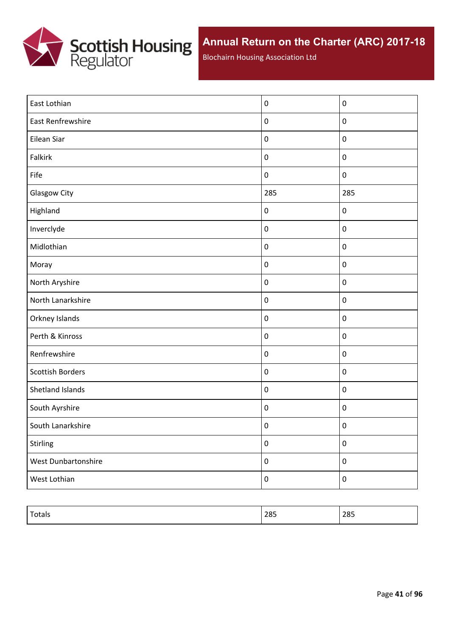

Blochairn Housing Association Ltd

| East Lothian            | $\boldsymbol{0}$ | $\pmb{0}$        |
|-------------------------|------------------|------------------|
| East Renfrewshire       | $\pmb{0}$        | $\pmb{0}$        |
| Eilean Siar             | $\pmb{0}$        | $\pmb{0}$        |
| Falkirk                 | $\pmb{0}$        | $\pmb{0}$        |
| Fife                    | $\pmb{0}$        | $\boldsymbol{0}$ |
| Glasgow City            | 285              | 285              |
| Highland                | $\pmb{0}$        | $\pmb{0}$        |
| Inverclyde              | $\pmb{0}$        | $\pmb{0}$        |
| Midlothian              | $\pmb{0}$        | $\pmb{0}$        |
| Moray                   | $\pmb{0}$        | $\pmb{0}$        |
| North Aryshire          | $\pmb{0}$        | $\pmb{0}$        |
| North Lanarkshire       | $\pmb{0}$        | $\pmb{0}$        |
| Orkney Islands          | $\pmb{0}$        | $\pmb{0}$        |
| Perth & Kinross         | $\pmb{0}$        | $\pmb{0}$        |
| Renfrewshire            | $\pmb{0}$        | $\pmb{0}$        |
| <b>Scottish Borders</b> | $\pmb{0}$        | $\pmb{0}$        |
| Shetland Islands        | $\pmb{0}$        | $\pmb{0}$        |
| South Ayrshire          | $\pmb{0}$        | $\pmb{0}$        |
| South Lanarkshire       | $\pmb{0}$        | $\pmb{0}$        |
| Stirling                | $\pmb{0}$        | $\pmb{0}$        |
| West Dunbartonshire     | $\pmb{0}$        | $\boldsymbol{0}$ |
| West Lothian            | $\boldsymbol{0}$ | $\pmb{0}$        |

| $\tau$<br>Totals | 285 | 285 |
|------------------|-----|-----|
|                  |     |     |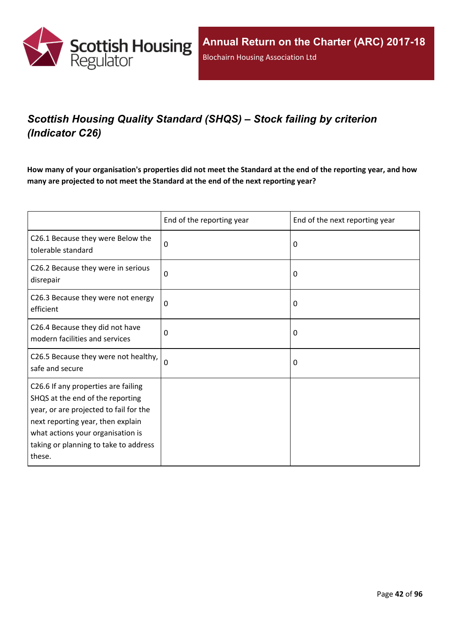

# *Scottish Housing Quality Standard (SHQS) – Stock failing by criterion (Indicator C26)*

How many of your organisation's properties did not meet the Standard at the end of the reporting year, and how **many are projected to not meet the Standard at the end of the next reporting year?**

|                                                                                                                                                                                                                                                | End of the reporting year | End of the next reporting year |
|------------------------------------------------------------------------------------------------------------------------------------------------------------------------------------------------------------------------------------------------|---------------------------|--------------------------------|
| C26.1 Because they were Below the<br>tolerable standard                                                                                                                                                                                        | 0                         | 0                              |
| C26.2 Because they were in serious<br>disrepair                                                                                                                                                                                                | 0                         | 0                              |
| C26.3 Because they were not energy<br>efficient                                                                                                                                                                                                | $\Omega$                  | 0                              |
| C26.4 Because they did not have<br>modern facilities and services                                                                                                                                                                              | $\Omega$                  | 0                              |
| C26.5 Because they were not healthy,<br>safe and secure                                                                                                                                                                                        | 0                         | 0                              |
| C26.6 If any properties are failing<br>SHQS at the end of the reporting<br>year, or are projected to fail for the<br>next reporting year, then explain<br>what actions your organisation is<br>taking or planning to take to address<br>these. |                           |                                |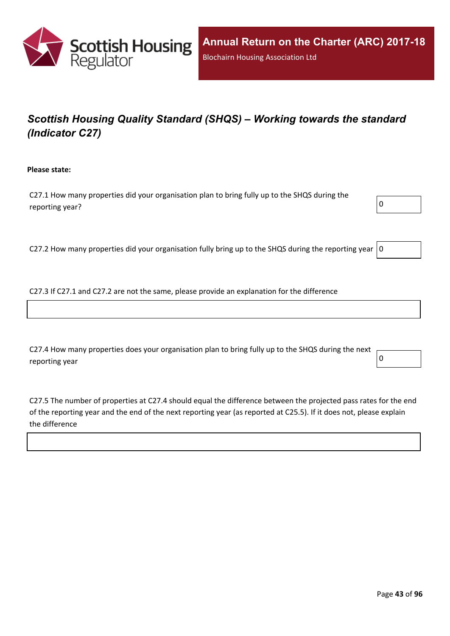

# *Scottish Housing Quality Standard (SHQS) – Working towards the standard (Indicator C27)*

**Please state:**

C27.1 How many properties did your organisation plan to bring fully up to the SHQS during the reporting year?  $\boxed{0}$ 

C27.2 How many properties did your organisation fully bring up to the SHQS during the reporting year  $|0$ 

C27.3 If C27.1 and C27.2 are not the same, please provide an explanation for the difference

C27.4 How many properties does your organisation plan to bring fully up to the SHQS during the next reporting year  $\begin{bmatrix} 0 \end{bmatrix}$ 

C27.5 The number of properties at C27.4 should equal the difference between the projected pass rates for the end of the reporting year and the end of the next reporting year (as reported at C25.5). If it does not, please explain the difference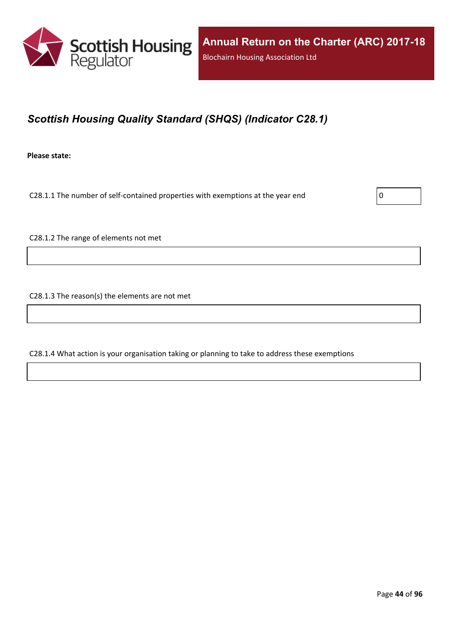

# *Scottish Housing Quality Standard (SHQS) (Indicator C28.1)*

**Please state:**

C28.1.1 The number of self-contained properties with exemptions at the year end  $\vert$  0

C28.1.2 The range of elements not met

C28.1.3 The reason(s) the elements are not met

C28.1.4 What action is your organisation taking or planning to take to address these exemptions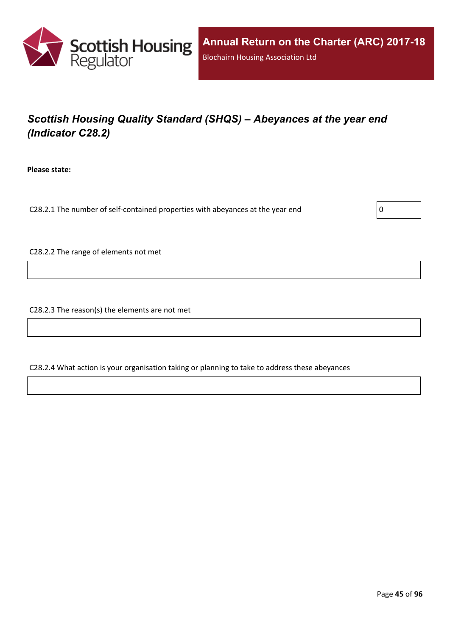

# *Scottish Housing Quality Standard (SHQS) – Abeyances at the year end (Indicator C28.2)*

**Please state:**

C28.2.1 The number of self-contained properties with abeyances at the year end  $\vert$  0

C28.2.2 The range of elements not met

C28.2.3 The reason(s) the elements are not met

C28.2.4 What action is your organisation taking or planning to take to address these abeyances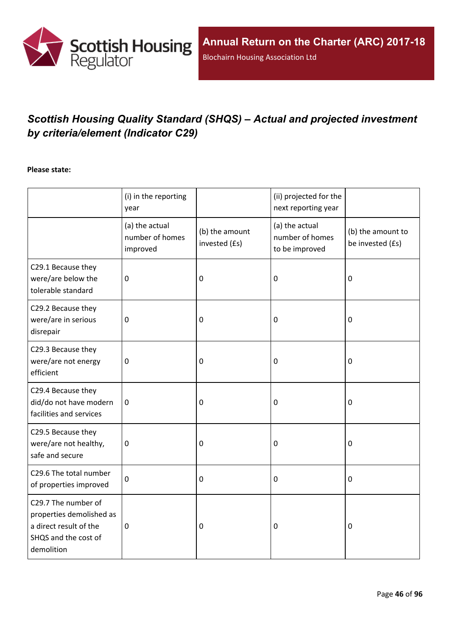

# *Scottish Housing Quality Standard (SHQS) – Actual and projected investment by criteria/element (Indicator C29)*

#### **Please state:**

|                                                                                                                 | (i) in the reporting<br>year                  |                                 | (ii) projected for the<br>next reporting year       |                                       |
|-----------------------------------------------------------------------------------------------------------------|-----------------------------------------------|---------------------------------|-----------------------------------------------------|---------------------------------------|
|                                                                                                                 | (a) the actual<br>number of homes<br>improved | (b) the amount<br>invested (£s) | (a) the actual<br>number of homes<br>to be improved | (b) the amount to<br>be invested (£s) |
| C29.1 Because they<br>were/are below the<br>tolerable standard                                                  | $\mathbf 0$                                   | $\mathbf 0$                     | 0                                                   | $\mathbf 0$                           |
| C29.2 Because they<br>were/are in serious<br>disrepair                                                          | $\mathbf 0$                                   | $\boldsymbol{0}$                | 0                                                   | $\boldsymbol{0}$                      |
| C29.3 Because they<br>were/are not energy<br>efficient                                                          | $\mathbf 0$                                   | $\mathbf 0$                     | 0                                                   | $\mathbf 0$                           |
| C29.4 Because they<br>did/do not have modern<br>facilities and services                                         | $\mathbf 0$                                   | $\mathbf 0$                     | 0                                                   | $\boldsymbol{0}$                      |
| C29.5 Because they<br>were/are not healthy,<br>safe and secure                                                  | $\boldsymbol{0}$                              | $\mathbf 0$                     | 0                                                   | $\boldsymbol{0}$                      |
| C29.6 The total number<br>of properties improved                                                                | $\mathbf 0$                                   | $\mathbf 0$                     | 0                                                   | $\mathbf 0$                           |
| C29.7 The number of<br>properties demolished as<br>a direct result of the<br>SHQS and the cost of<br>demolition | $\pmb{0}$                                     | $\mathbf 0$                     | 0                                                   | $\mathbf 0$                           |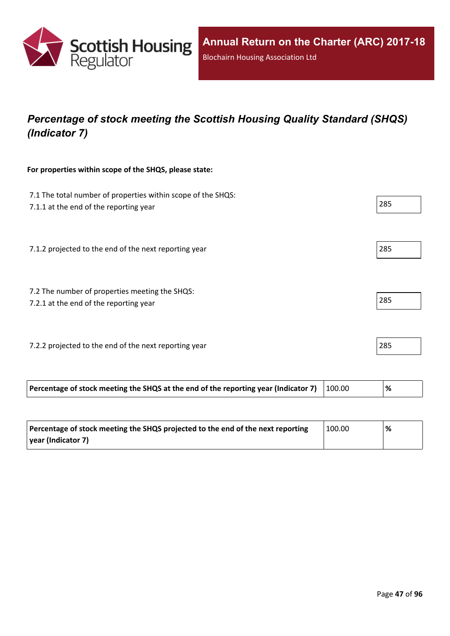

# *Percentage of stock meeting the Scottish Housing Quality Standard (SHQS) (Indicator 7)*

#### **For properties within scope of the SHQS, please state:**

| 7.1 The total number of properties within scope of the SHQS:<br>7.1.1 at the end of the reporting year |        | 285  |
|--------------------------------------------------------------------------------------------------------|--------|------|
| 7.1.2 projected to the end of the next reporting year                                                  |        | 285  |
| 7.2 The number of properties meeting the SHQS:<br>7.2.1 at the end of the reporting year               |        | 285  |
| 7.2.2 projected to the end of the next reporting year                                                  |        | 285  |
| Percentage of stock meeting the SHQS at the end of the reporting year (Indicator 7)                    | 100.00 | $\%$ |

| Percentage of stock meeting the SHQS projected to the end of the next reporting | 100.00 | % |
|---------------------------------------------------------------------------------|--------|---|
| vear (Indicator 7)                                                              |        |   |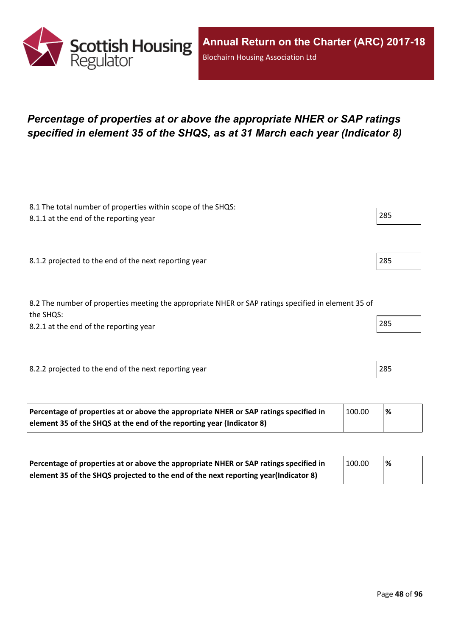

### *Percentage of properties at or above the appropriate NHER or SAP ratings specified in element 35 of the SHQS, as at 31 March each year (Indicator 8)*

| 8.1 The total number of properties within scope of the SHQS:<br>8.1.1 at the end of the reporting year           | 285 |
|------------------------------------------------------------------------------------------------------------------|-----|
|                                                                                                                  |     |
| 8.1.2 projected to the end of the next reporting year                                                            | 285 |
| 8.2 The number of properties meeting the appropriate NHER or SAP ratings specified in element 35 of<br>the SHQS: |     |
| 8.2.1 at the end of the reporting year                                                                           | 285 |
|                                                                                                                  |     |
| 8.2.2 projected to the end of the next reporting year                                                            | 285 |

| Percentage of properties at or above the appropriate NHER or SAP ratings specified in | 100.00 | % |
|---------------------------------------------------------------------------------------|--------|---|
| element 35 of the SHQS at the end of the reporting year (Indicator 8)                 |        |   |

| Percentage of properties at or above the appropriate NHER or SAP ratings specified in | 100.00 | % |
|---------------------------------------------------------------------------------------|--------|---|
| element 35 of the SHQS projected to the end of the next reporting year(Indicator 8)   |        |   |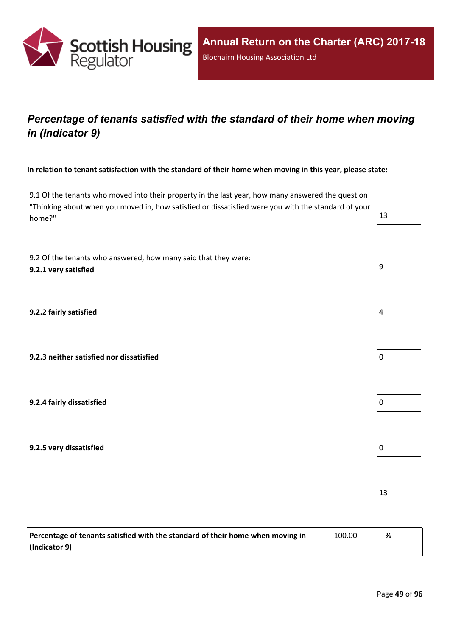

### *Percentage of tenants satisfied with the standard of their home when moving in (Indicator 9)*

In relation to tenant satisfaction with the standard of their home when moving in this year, please state:

9.1 Of the tenants who moved into their property in the last year, how many answered the question "Thinking about when you moved in, how satisfied or dissatisfied were you with the standard of your home?"  $\vert$  13

9.2 Of the tenants who answered, how many said that they were: **9.2.1 very satisfied** 9

**9.2.2 fairly satisfied** 4

**9.2.3 neither satisfied nor dissatisfied** 0

**9.2.4 fairly dissatisfied** 0

**9.2.5 very dissatisfied** 0

| Percentage of tenants satisfied with the standard of their home when moving in | $^{\backprime}$ 100.00 | % |
|--------------------------------------------------------------------------------|------------------------|---|
| $ $ (Indicator 9)                                                              |                        |   |





13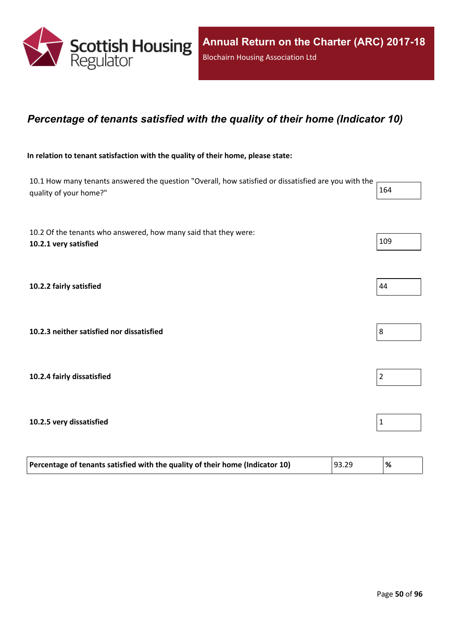

### *Percentage of tenants satisfied with the quality of their home (Indicator 10)*

#### **In relation to tenant satisfaction with the quality of their home, please state:**

10.1 How many tenants answered the question "Overall, how satisfied or dissatisfied are you with the quality of your home?" 164

10.2 Of the tenants who answered, how many said that they were: **10.2.1 very satisfied** 109 **10.2.2 fairly satisfied** 44 **10.2.3 neither satisfied nor dissatisfied** 8 **10.2.4 fairly dissatisfied** 2 **10.2.5 very dissatisfied** 1

| Percentage of tenants satisfied with the quality of their home (Indicator 10) | 93.29 | '% |
|-------------------------------------------------------------------------------|-------|----|
|-------------------------------------------------------------------------------|-------|----|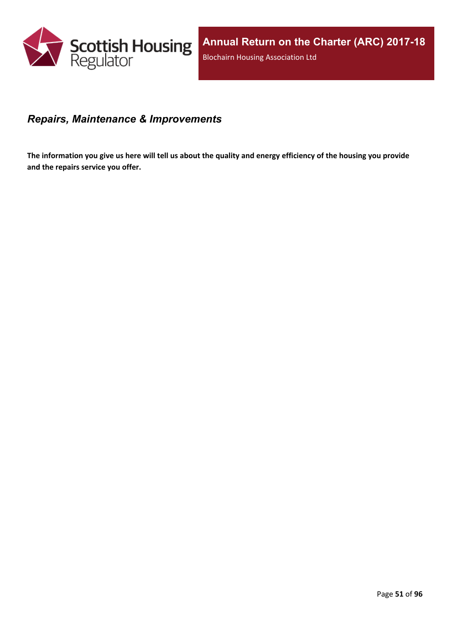

### *Repairs, Maintenance & Improvements*

The information you give us here will tell us about the quality and energy efficiency of the housing you provide **and the repairs service you offer.**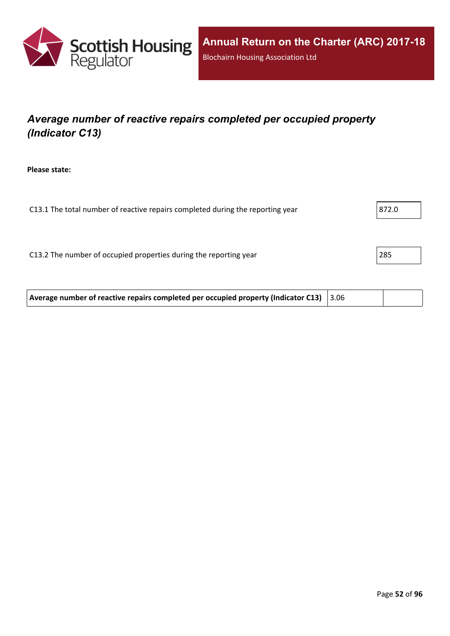

# *Average number of reactive repairs completed per occupied property (Indicator C13)*

**Please state:**

| 872.0 |
|-------|
|       |
|       |
| 285   |
|       |
|       |

| Average number of reactive repairs completed per occupied property (Indicator C13) 3.06 |  |  |  |
|-----------------------------------------------------------------------------------------|--|--|--|
|-----------------------------------------------------------------------------------------|--|--|--|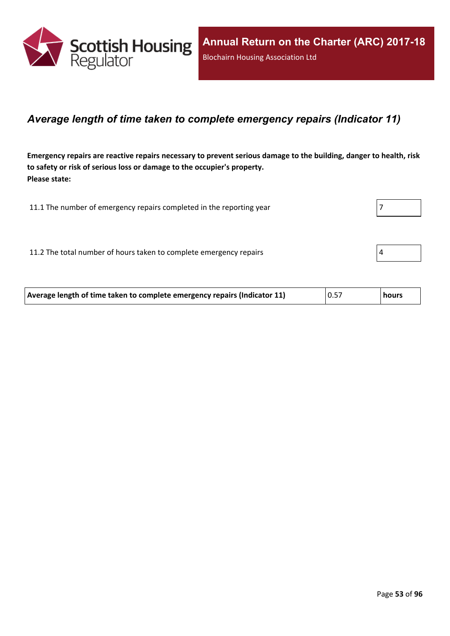

### *Average length of time taken to complete emergency repairs (Indicator 11)*

Emergency repairs are reactive repairs necessary to prevent serious damage to the building, danger to health, risk **to safety or risk of serious loss or damage to the occupier's property. Please state:**

11.1 The number of emergency repairs completed in the reporting year 7 11.2 The total number of hours taken to complete emergency repairs  $4 \times 4$ 

| 0.57<br>Average length of time taken to complete emergency repairs (Indicator 11)<br><b>hours</b> |
|---------------------------------------------------------------------------------------------------|
|---------------------------------------------------------------------------------------------------|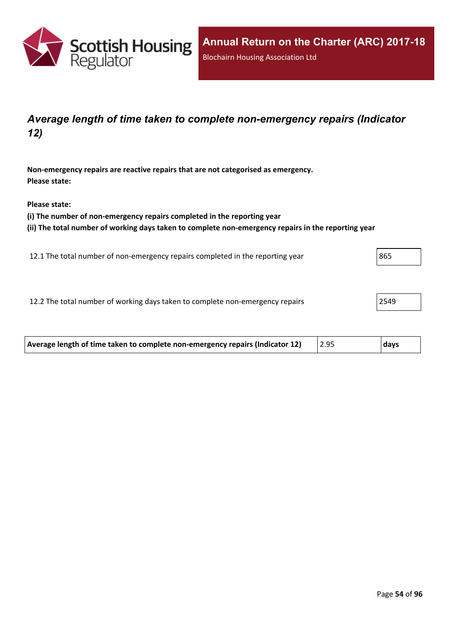

### *Average length of time taken to complete non-emergency repairs (Indicator 12)*

**Non-emergency repairs are reactive repairs that are not categorised as emergency. Please state:**

**Please state:**

**(i) The number of non-emergency repairs completed in the reporting year**

**(ii) The total number of working days taken to complete non-emergency repairs in the reporting year**

12.1 The total number of non-emergency repairs completed in the reporting year 865

12.2 The total number of working days taken to complete non-emergency repairs 2549

| Average length of time taken to complete non-emergency repairs (Indicator 12) | 2.95 | <b>days</b> |
|-------------------------------------------------------------------------------|------|-------------|
|                                                                               |      |             |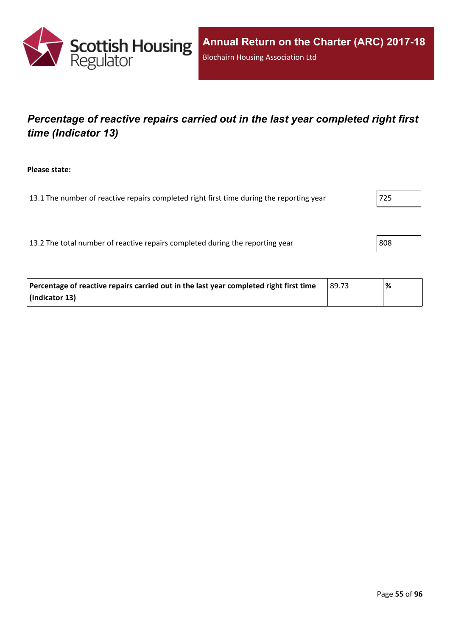

## *Percentage of reactive repairs carried out in the last year completed right first time (Indicator 13)*

**Please state:**

13.1 The number of reactive repairs completed right first time during the reporting year  $|725|$ 

13.2 The total number of reactive repairs completed during the reporting year 808

| Percentage of reactive repairs carried out in the last year completed right first time | 89.73 | % |
|----------------------------------------------------------------------------------------|-------|---|
| (Indicator 13)                                                                         |       |   |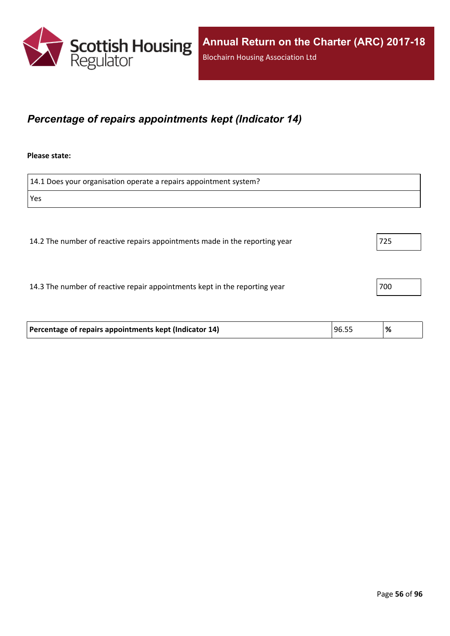

### *Percentage of repairs appointments kept (Indicator 14)*

#### **Please state:**

14.1 Does your organisation operate a repairs appointment system? Yes 14.2 The number of reactive repairs appointments made in the reporting year 725 14.3 The number of reactive repair appointments kept in the reporting year 700

| Percentage of repairs appointments kept (Indicator 14) | 96.55 | ి⁄ం |
|--------------------------------------------------------|-------|-----|
|                                                        |       |     |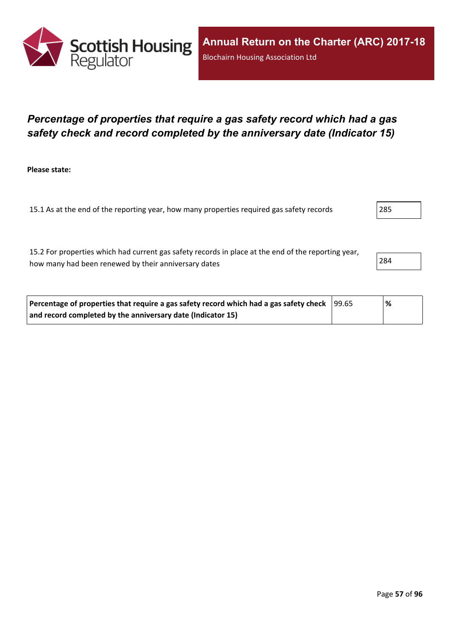

### *Percentage of properties that require a gas safety record which had a gas safety check and record completed by the anniversary date (Indicator 15)*

**Please state:**

15.1 As at the end of the reporting year, how many properties required gas safety records 285

15.2 For properties which had current gas safety records in place at the end of the reporting year, how many had been renewed by their anniversary dates 284

| Percentage of properties that require a gas safety record which had a gas safety check  99.65 | ℅ |
|-----------------------------------------------------------------------------------------------|---|
| and record completed by the anniversary date (Indicator 15)                                   |   |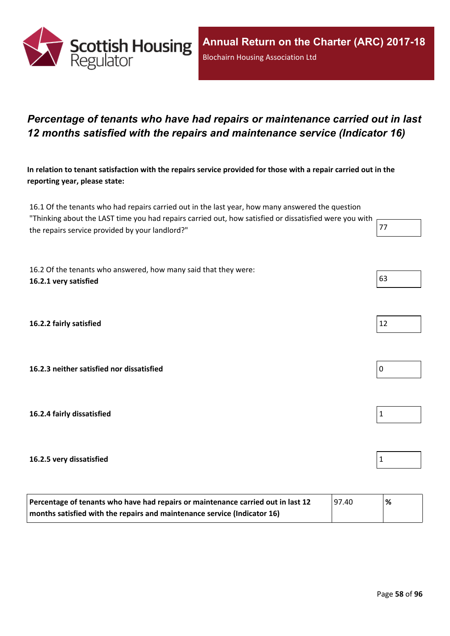

### *Percentage of tenants who have had repairs or maintenance carried out in last 12 months satisfied with the repairs and maintenance service (Indicator 16)*

In relation to tenant satisfaction with the repairs service provided for those with a repair carried out in the **reporting year, please state:**

16.1 Of the tenants who had repairs carried out in the last year, how many answered the question "Thinking about the LAST time you had repairs carried out, how satisfied or dissatisfied were you with the repairs service provided by your landlord?" The repairs service provided by your landlord?"

16.2 Of the tenants who answered, how many said that they were: **16.2.1 very satisfied** 63

**16.2.2 fairly satisfied** 12

**16.2.3 neither satisfied nor dissatisfied** 0

**16.2.4 fairly dissatisfied** 1

#### **16.2.5 very dissatisfied** 1

| Percentage of tenants who have had repairs or maintenance carried out in last 12 | 97.40 | % |
|----------------------------------------------------------------------------------|-------|---|
| months satisfied with the repairs and maintenance service (Indicator 16)         |       |   |

Page **58** of **96**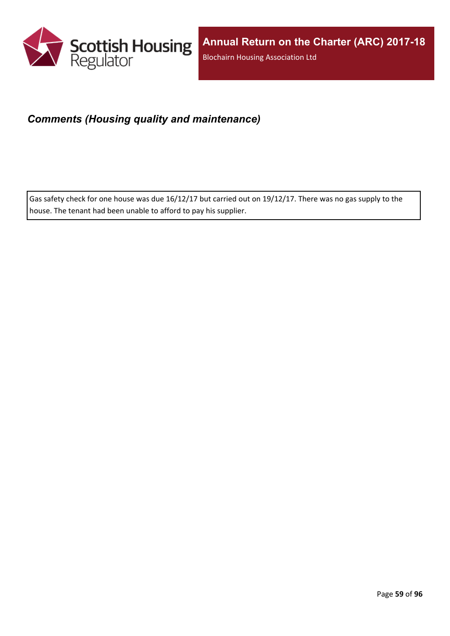

### *Comments (Housing quality and maintenance)*

Gas safety check for one house was due 16/12/17 but carried out on 19/12/17. There was no gas supply to the house. The tenant had been unable to afford to pay his supplier.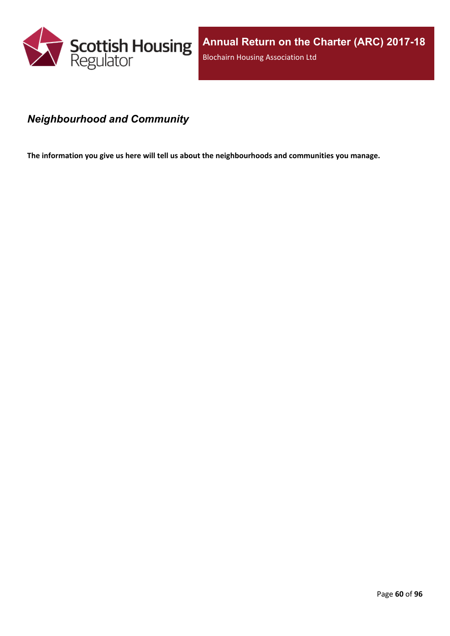

### *Neighbourhood and Community*

**The information you give us here will tell us about the neighbourhoods and communities you manage.**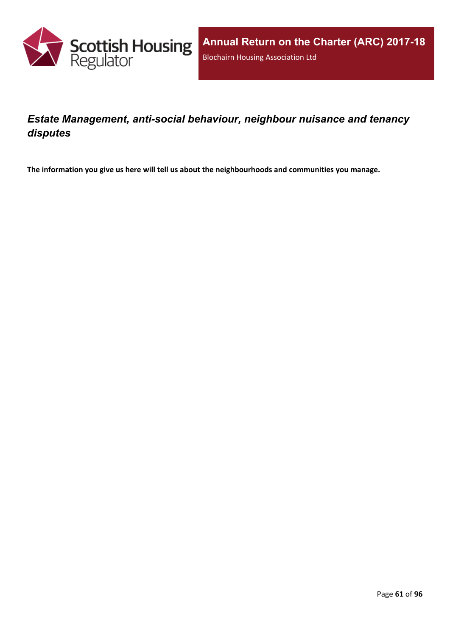

### *Estate Management, anti-social behaviour, neighbour nuisance and tenancy disputes*

**The information you give us here will tell us about the neighbourhoods and communities you manage.**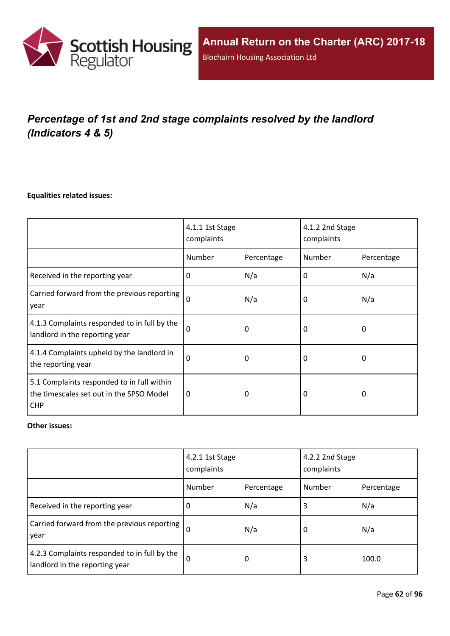

# *Percentage of 1st and 2nd stage complaints resolved by the landlord (Indicators 4 & 5)*

#### **Equalities related issues:**

|                                                                                                      | 4.1.1 1st Stage<br>complaints |            | 4.1.2 2nd Stage<br>complaints |            |
|------------------------------------------------------------------------------------------------------|-------------------------------|------------|-------------------------------|------------|
|                                                                                                      | Number                        | Percentage | Number                        | Percentage |
| Received in the reporting year                                                                       | $\Omega$                      | N/a        | 0                             | N/a        |
| Carried forward from the previous reporting<br>year                                                  | $\Omega$                      | N/a        | 0                             | N/a        |
| 4.1.3 Complaints responded to in full by the<br>landlord in the reporting year                       | $\Omega$                      | 0          | 0                             | 0          |
| 4.1.4 Complaints upheld by the landlord in<br>the reporting year                                     | 0                             | 0          | 0                             | 0          |
| 5.1 Complaints responded to in full within<br>the timescales set out in the SPSO Model<br><b>CHP</b> | $\Omega$                      | 0          | 0                             | $\Omega$   |

#### **Other issues:**

|                                                                                | 4.2.1 1st Stage<br>complaints |            | 4.2.2 2nd Stage<br>complaints |            |
|--------------------------------------------------------------------------------|-------------------------------|------------|-------------------------------|------------|
|                                                                                | Number                        | Percentage | Number                        | Percentage |
| Received in the reporting year                                                 | 0                             | N/a        | 3                             | N/a        |
| Carried forward from the previous reporting  <br>year                          | $\Omega$                      | N/a        | 0                             | N/a        |
| 4.2.3 Complaints responded to in full by the<br>landlord in the reporting year | $\Omega$                      | 0          | 3                             | 100.0      |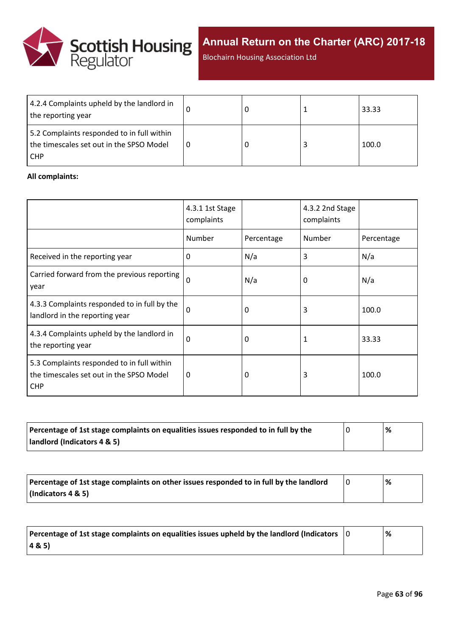

Blochairn Housing Association Ltd

| 4.2.4 Complaints upheld by the landlord in<br>the reporting year                                     |  | 33.33 |
|------------------------------------------------------------------------------------------------------|--|-------|
| 5.2 Complaints responded to in full within<br>the timescales set out in the SPSO Model<br><b>CHP</b> |  | 100.0 |

#### **All complaints:**

|                                                                                                      | 4.3.1 1st Stage<br>complaints |            | 4.3.2 2nd Stage<br>complaints |            |
|------------------------------------------------------------------------------------------------------|-------------------------------|------------|-------------------------------|------------|
|                                                                                                      | Number                        | Percentage | Number                        | Percentage |
| Received in the reporting year                                                                       | $\Omega$                      | N/a        | 3                             | N/a        |
| Carried forward from the previous reporting<br>year                                                  | $\Omega$                      | N/a        | 0                             | N/a        |
| 4.3.3 Complaints responded to in full by the<br>landlord in the reporting year                       | $\Omega$                      | 0          | 3                             | 100.0      |
| 4.3.4 Complaints upheld by the landlord in<br>the reporting year                                     | $\Omega$                      | 0          | 1                             | 33.33      |
| 5.3 Complaints responded to in full within<br>the timescales set out in the SPSO Model<br><b>CHP</b> | $\Omega$                      | 0          | 3                             | 100.0      |

| Percentage of 1st stage complaints on equalities issues responded to in full by the | % |
|-------------------------------------------------------------------------------------|---|
| landlord (Indicators 4 & 5)                                                         |   |

| Percentage of 1st stage complaints on other issues responded to in full by the landlord | '% |
|-----------------------------------------------------------------------------------------|----|
| (Indicators 4 & 5)                                                                      |    |

| Percentage of 1st stage complaints on equalities issues upheld by the landlord (Indicators $\vert$ 0 | % |
|------------------------------------------------------------------------------------------------------|---|
| (48.5)                                                                                               |   |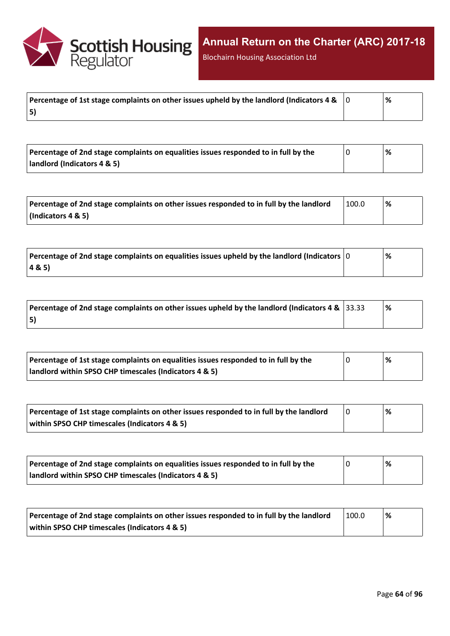

Blochairn Housing Association Ltd

|    | % |
|----|---|
| 5) |   |

| Percentage of 2nd stage complaints on equalities issues responded to in full by the | % |
|-------------------------------------------------------------------------------------|---|
| landlord (Indicators 4 & 5)                                                         |   |

| Percentage of 2nd stage complaints on other issues responded to in full by the landlord | 100.0 | % |
|-----------------------------------------------------------------------------------------|-------|---|
| $\vert$ (Indicators 4 & 5)                                                              |       |   |

| $\mid$ Percentage of 2nd stage complaints on equalities issues upheld by the landlord (Indicators $\mid$ 0 | % |
|------------------------------------------------------------------------------------------------------------|---|
| 4&5)                                                                                                       |   |

| Percentage of 2nd stage complaints on other issues upheld by the landlord (Indicators 4 & $\vert$ 33.33 | <u>%</u> |
|---------------------------------------------------------------------------------------------------------|----------|
| 5)                                                                                                      |          |

| Percentage of 1st stage complaints on equalities issues responded to in full by the | % |
|-------------------------------------------------------------------------------------|---|
| landlord within SPSO CHP timescales (Indicators 4 & 5)                              |   |

| Percentage of 1st stage complaints on other issues responded to in full by the landlord | % |
|-----------------------------------------------------------------------------------------|---|
| within SPSO CHP timescales (Indicators 4 & 5)                                           |   |

| Percentage of 2nd stage complaints on equalities issues responded to in full by the |  | $\%$ |
|-------------------------------------------------------------------------------------|--|------|
| landlord within SPSO CHP timescales (Indicators 4 & 5)                              |  |      |

| Percentage of 2nd stage complaints on other issues responded to in full by the landlord | 100.0 | '% |
|-----------------------------------------------------------------------------------------|-------|----|
| within SPSO CHP timescales (Indicators 4 & 5)                                           |       |    |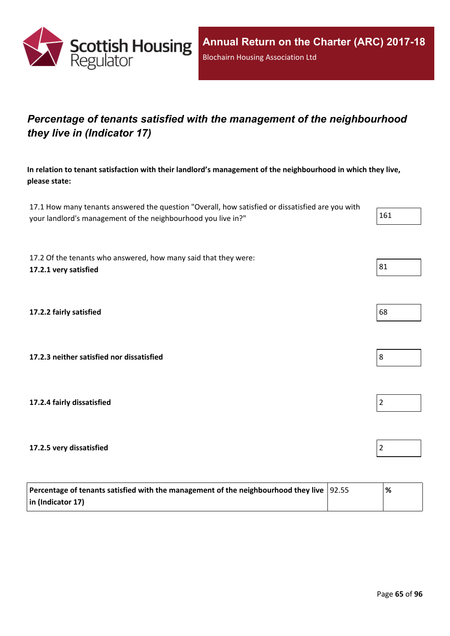

# *Percentage of tenants satisfied with the management of the neighbourhood they live in (Indicator 17)*

**In relation to tenant satisfaction with their landlord's management of the neighbourhood in which they live, please state:**

17.1 How many tenants answered the question "Overall, how satisfied or dissatisfied are you with your landlord's management of the neighbourhood you live in?" 161

17.2 Of the tenants who answered, how many said that they were: **17.2.1 very satisfied** 81

**17.2.2 fairly satisfied** 68

**17.2.3 neither satisfied nor dissatisfied** 8

**17.2.4 fairly dissatisfied** 2

**17.2.5 very dissatisfied** 2

| Percentage of tenants satisfied with the management of the neighbourhood they live $ 92.55 $ | '% |
|----------------------------------------------------------------------------------------------|----|
| $\vert$ in (Indicator 17)                                                                    |    |

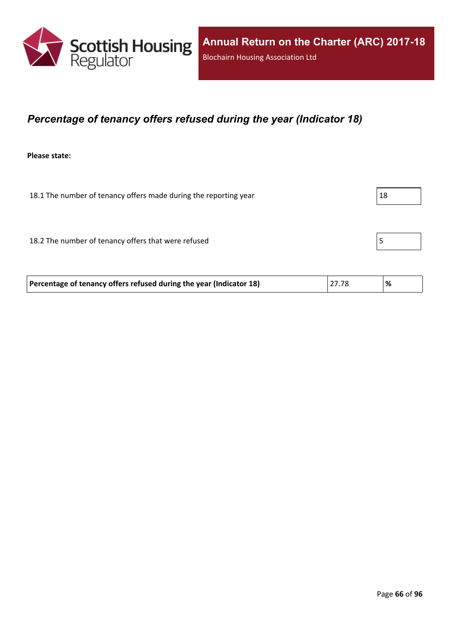

### *Percentage of tenancy offers refused during the year (Indicator 18)*

**Please state:**

18.1 The number of tenancy offers made during the reporting year  $|18$ 

18.2 The number of tenancy offers that were refused 5

| Percentage of tenancy offers refused during the year (Indicator 18) | 27.78 |  |
|---------------------------------------------------------------------|-------|--|
|                                                                     |       |  |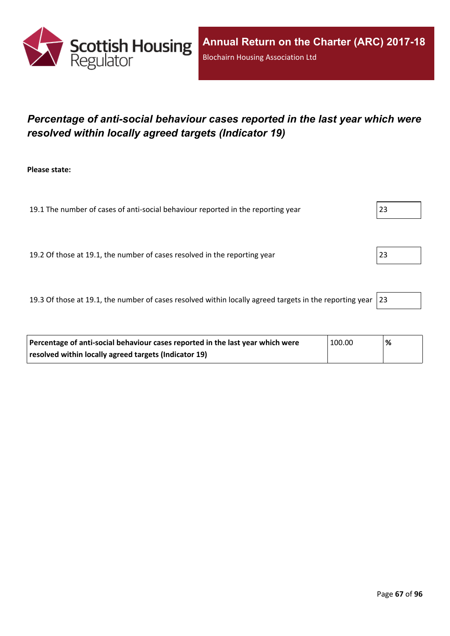

## *Percentage of anti-social behaviour cases reported in the last year which were resolved within locally agreed targets (Indicator 19)*

**Please state:**

19.1 The number of cases of anti-social behaviour reported in the reporting year 23 19.2 Of those at 19.1, the number of cases resolved in the reporting year 23

19.3 Of those at 19.1, the number of cases resolved within locally agreed targets in the reporting year  $|23|$ 

| Percentage of anti-social behaviour cases reported in the last year which were | $\pm 100.00$ | '% |
|--------------------------------------------------------------------------------|--------------|----|
| resolved within locally agreed targets (Indicator 19)                          |              |    |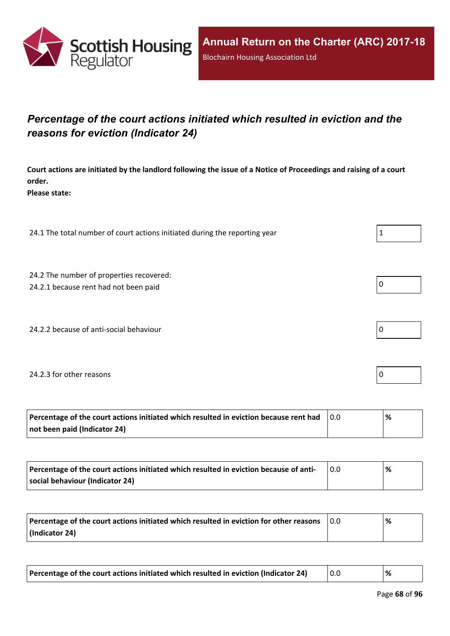

## *Percentage of the court actions initiated which resulted in eviction and the reasons for eviction (Indicator 24)*

Court actions are initiated by the landlord following the issue of a Notice of Proceedings and raising of a court **order.**

**Please state:**

24.1 The total number of court actions initiated during the reporting year  $1 \tbinom{1}{1}$ 

24.2 The number of properties recovered:

24.2.1 because rent had not been paid  $\vert 0 \vert$ 

24.2.2 because of anti-social behaviour  $\vert 0 \rangle$ 

#### 24.2.3 for other reasons  $\vert$  0

| Percentage of the court actions initiated which resulted in eviction because rent had | % |
|---------------------------------------------------------------------------------------|---|
| not been paid (Indicator 24)                                                          |   |

| Percentage of the court actions initiated which resulted in eviction because of anti- | '% |
|---------------------------------------------------------------------------------------|----|
| social behaviour (Indicator 24)                                                       |    |

| Percentage of the court actions initiated which resulted in eviction for other reasons | 0.0 | '% |
|----------------------------------------------------------------------------------------|-----|----|
| (Indicator 24)                                                                         |     |    |

| Percentage of the court actions initiated which resulted in eviction (Indicator 24) | $\vert 0.0$ |  |
|-------------------------------------------------------------------------------------|-------------|--|
|-------------------------------------------------------------------------------------|-------------|--|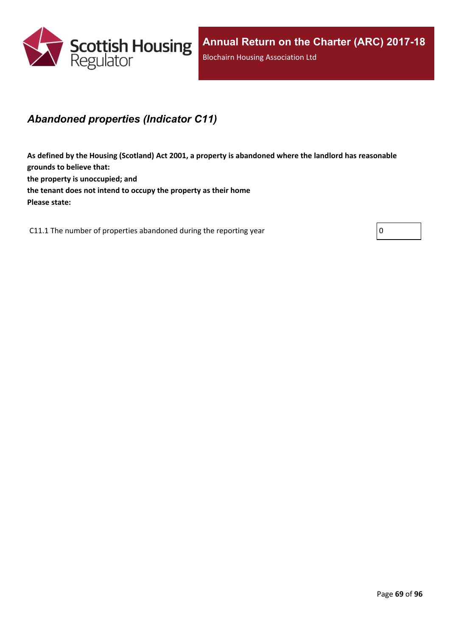

### *Abandoned properties (Indicator C11)*

**As defined by the Housing (Scotland) Act 2001, a property is abandoned where the landlord has reasonable grounds to believe that: the property is unoccupied; and the tenant does not intend to occupy the property as their home Please state:**

C11.1 The number of properties abandoned during the reporting year  $\vert 0 \vert$ 

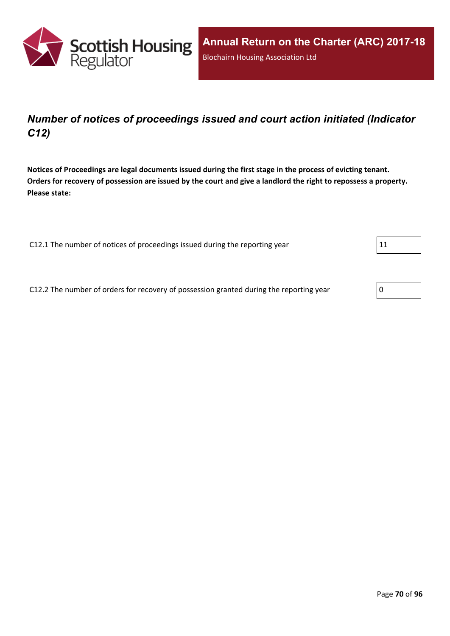

### *Number of notices of proceedings issued and court action initiated (Indicator C12)*

Notices of Proceedings are legal documents issued during the first stage in the process of evicting tenant. Orders for recovery of possession are issued by the court and give a landlord the right to repossess a property. **Please state:**

C12.1 The number of notices of proceedings issued during the reporting year  $11$ 

C12.2 The number of orders for recovery of possession granted during the reporting year  $\boxed{0}$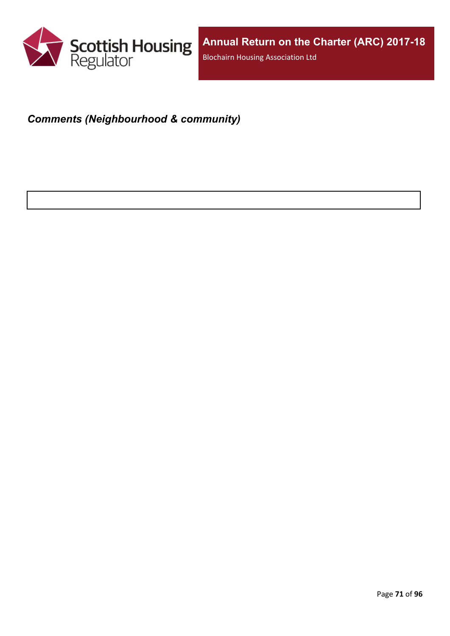

# *Comments (Neighbourhood & community)*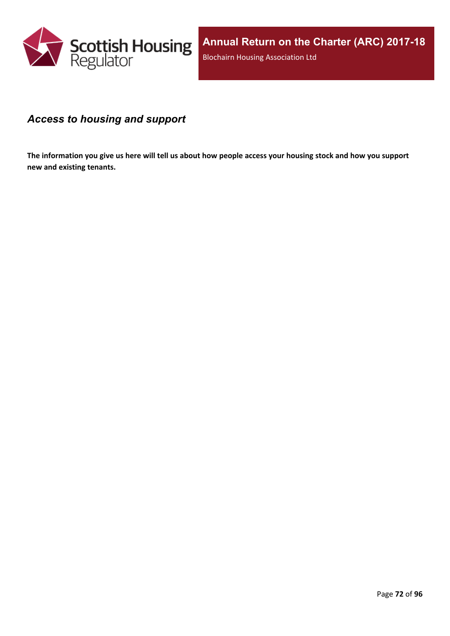

### *Access to housing and support*

The information you give us here will tell us about how people access your housing stock and how you support **new and existing tenants.**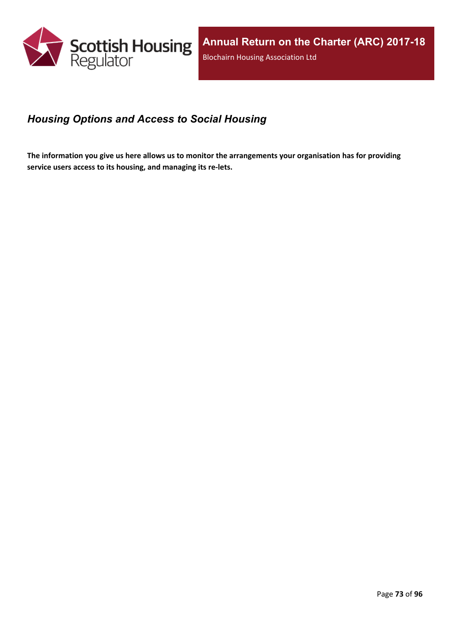

## *Housing Options and Access to Social Housing*

The information you give us here allows us to monitor the arrangements your organisation has for providing **service users access to its housing, and managing its re-lets.**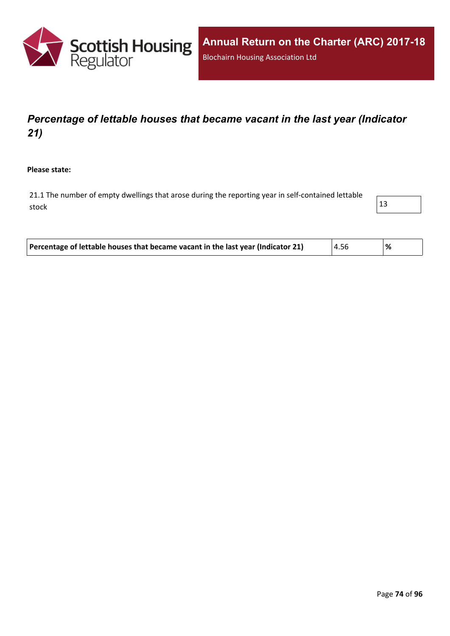

# *Percentage of lettable houses that became vacant in the last year (Indicator 21)*

**Please state:**

21.1 The number of empty dwellings that arose during the reporting year in self-contained lettable stock  $\vert$  13



| Percentage of lettable houses that became vacant in the last year (Indicator 21)<br>4.56<br>% |  |
|-----------------------------------------------------------------------------------------------|--|
|-----------------------------------------------------------------------------------------------|--|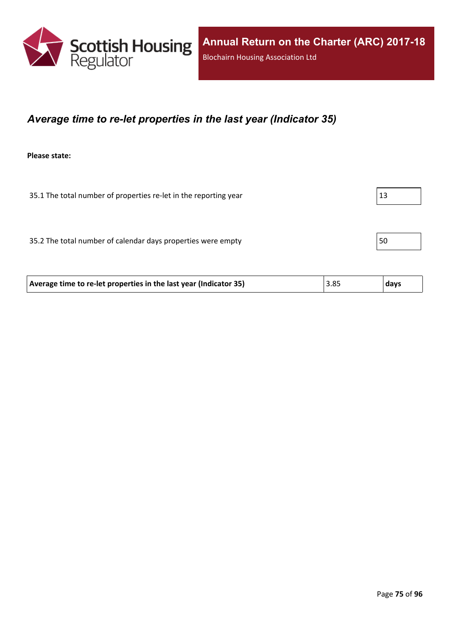

### *Average time to re-let properties in the last year (Indicator 35)*

**Please state:**

35.1 The total number of properties re-let in the reporting year  $|13|$ 

35.2 The total number of calendar days properties were empty  $\vert$  50

| 3.85 | Average time to re-let properties in the last year (Indicator 35) |  | days |
|------|-------------------------------------------------------------------|--|------|
|------|-------------------------------------------------------------------|--|------|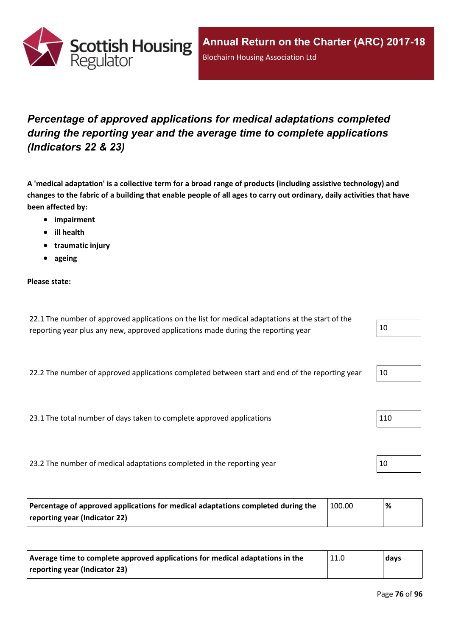

# *Percentage of approved applications for medical adaptations completed during the reporting year and the average time to complete applications (Indicators 22 & 23)*

A 'medical adaptation' is a collective term for a broad range of products (including assistive technology) and changes to the fabric of a building that enable people of all ages to carry out ordinary, daily activities that have **been affected by:**

- **impairment**
- **ill health**
- **traumatic injury**
- **ageing**

### **Please state:**

| 22.1 The number of approved applications on the list for medical adaptations at the start of the |    |
|--------------------------------------------------------------------------------------------------|----|
| reporting year plus any new, approved applications made during the reporting year                | 10 |

22.2 The number of approved applications completed between start and end of the reporting year  $10$ 

23.1 The total number of days taken to complete approved applications 110

23.2 The number of medical adaptations completed in the reporting year  $10$ 

| Percentage of approved applications for medical adaptations completed during the | 100.00 | ℅ |
|----------------------------------------------------------------------------------|--------|---|
| reporting year (Indicator 22)                                                    |        |   |

| Average time to complete approved applications for medical adaptations in the | $\vert$ 11.0 | days |
|-------------------------------------------------------------------------------|--------------|------|
| reporting year (Indicator 23)                                                 |              |      |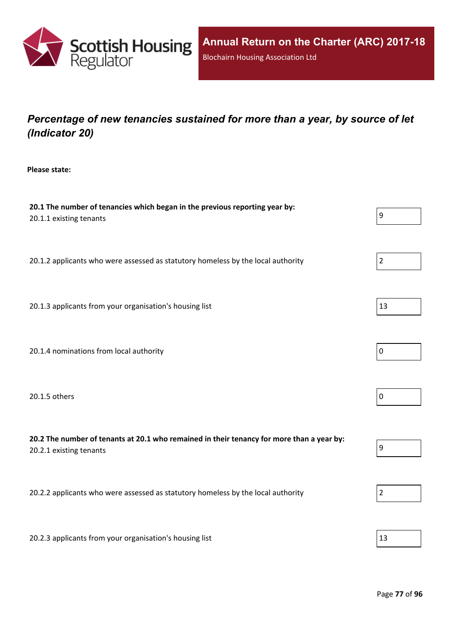

# *Percentage of new tenancies sustained for more than a year, by source of let (Indicator 20)*

**Please state:**

| 20.1 The number of tenancies which began in the previous reporting year by:<br>20.1.1 existing tenants               | 9                |
|----------------------------------------------------------------------------------------------------------------------|------------------|
| 20.1.2 applicants who were assessed as statutory homeless by the local authority                                     | $\overline{2}$   |
| 20.1.3 applicants from your organisation's housing list                                                              | 13               |
| 20.1.4 nominations from local authority                                                                              | $\mathbf 0$      |
| 20.1.5 others                                                                                                        | $\pmb{0}$        |
| 20.2 The number of tenants at 20.1 who remained in their tenancy for more than a year by:<br>20.2.1 existing tenants | $\boldsymbol{9}$ |
| 20.2.2 applicants who were assessed as statutory homeless by the local authority                                     | $\overline{2}$   |
| 20.2.3 applicants from your organisation's housing list                                                              | 13               |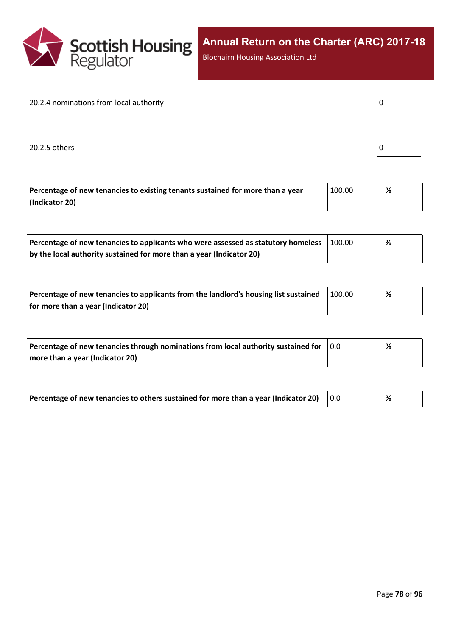

Blochairn Housing Association Ltd

### 20.2.4 nominations from local authority

20.2.5 others

|--|

| Percentage of new tenancies to existing tenants sustained for more than a year | 100.00 | % |
|--------------------------------------------------------------------------------|--------|---|
| (Indicator 20)                                                                 |        |   |

| Percentage of new tenancies to applicants who were assessed as statutory homeless | 100.00 | $\%$ |  |
|-----------------------------------------------------------------------------------|--------|------|--|
| by the local authority sustained for more than a year (Indicator 20)              |        |      |  |

| Percentage of new tenancies to applicants from the landlord's housing list sustained | 100.00 | % |
|--------------------------------------------------------------------------------------|--------|---|
| for more than a year (Indicator 20)                                                  |        |   |

| Percentage of new tenancies through nominations from local authority sustained for | $\overline{0.0}$ | % |
|------------------------------------------------------------------------------------|------------------|---|
| more than a year (Indicator 20)                                                    |                  |   |

| Percentage of new tenancies to others sustained for more than a year (Indicator 20) |  | % |
|-------------------------------------------------------------------------------------|--|---|
|-------------------------------------------------------------------------------------|--|---|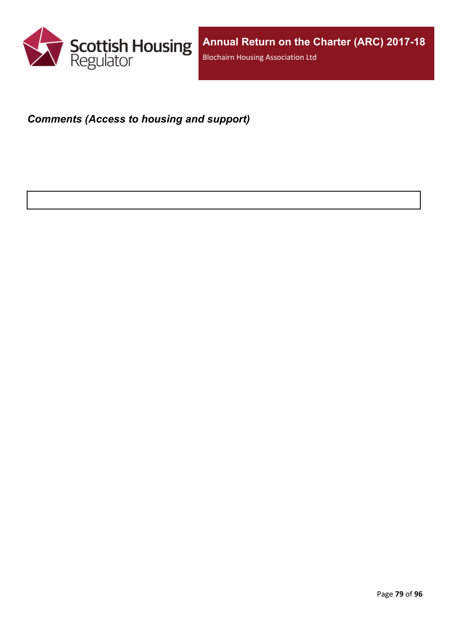

### *Comments (Access to housing and support)*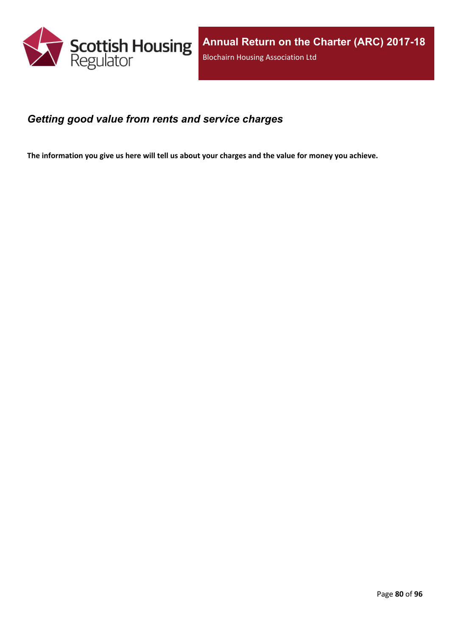

### *Getting good value from rents and service charges*

The information you give us here will tell us about your charges and the value for money you achieve.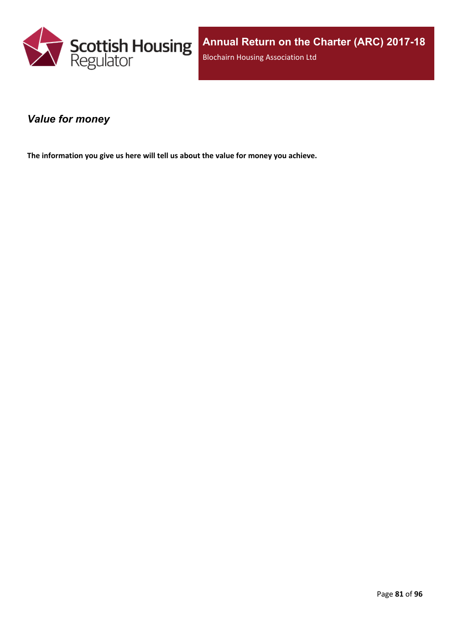

### *Value for money*

**The information you give us here will tell us about the value for money you achieve.**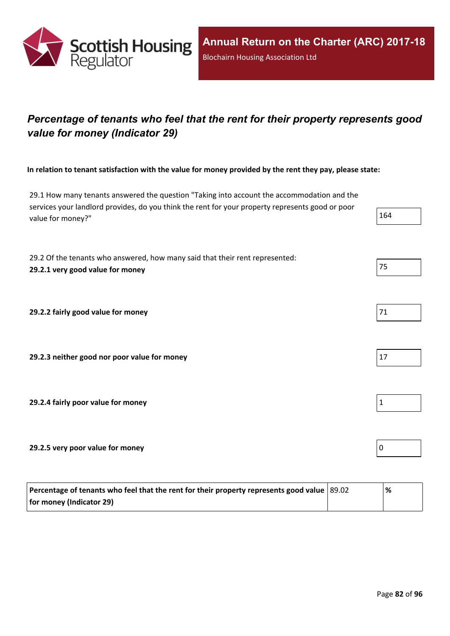

# *Percentage of tenants who feel that the rent for their property represents good value for money (Indicator 29)*

In relation to tenant satisfaction with the value for money provided by the rent they pay, please state:

29.1 How many tenants answered the question "Taking into account the accommodation and the services your landlord provides, do you think the rent for your property represents good or poor value for money?" 264 powders, ad you think the rent for your property represents good or poor 2012

29.2 Of the tenants who answered, how many said that their rent represented: **29.2.1 very good value for money** 75

**29.2.2 fairly good value for money** 

**29.2.3 neither good nor poor value for money** 17

**29.2.4 fairly poor value for money** 1

**29.2.5 very poor value for money** 0

| Percentage of tenants who feel that the rent for their property represents good value $ 89.02 $ | '% |
|-------------------------------------------------------------------------------------------------|----|
| for money (Indicator 29)                                                                        |    |

| 1<br>ъ. |  |
|---------|--|
|         |  |

| 71 |  |  |
|----|--|--|
|    |  |  |



| ֚֚ |  |  |
|----|--|--|
|    |  |  |
|    |  |  |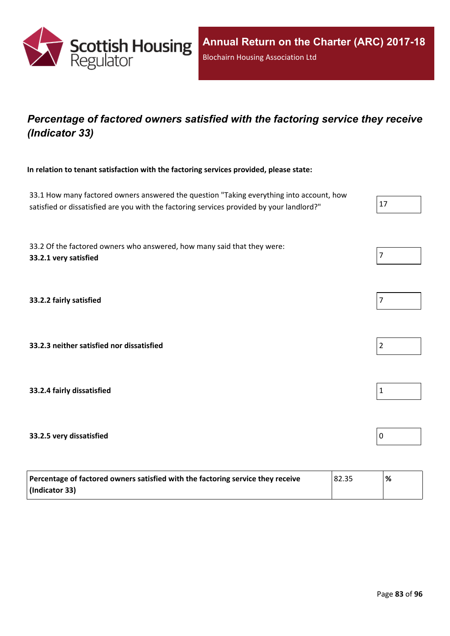

## *Percentage of factored owners satisfied with the factoring service they receive (Indicator 33)*

**In relation to tenant satisfaction with the factoring services provided, please state:**

33.1 How many factored owners answered the question "Taking everything into account, how satisfied or dissatisfied are you with the factoring services provided by your landlord?"  $\vert$  17

33.2 Of the factored owners who answered, how many said that they were: **33.2.1 very satisfied** 7

**33.2.2 fairly satisfied** 7

**33.2.3 neither satisfied nor dissatisfied** 2

**33.2.4 fairly dissatisfied** 1

### **33.2.5 very dissatisfied** 0

| Percentage of factored owners satisfied with the factoring service they receive | 82.35 | '% |
|---------------------------------------------------------------------------------|-------|----|
| (Indicator 33)                                                                  |       |    |





|  | ٠ |  |  |  |  |
|--|---|--|--|--|--|
|--|---|--|--|--|--|

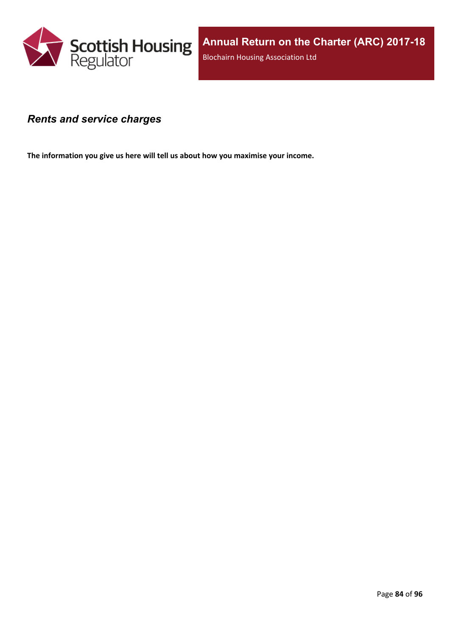

### *Rents and service charges*

**The information you give us here will tell us about how you maximise your income.**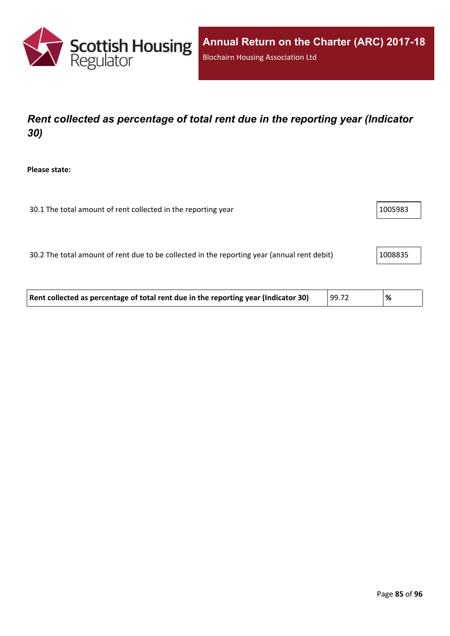

# *Rent collected as percentage of total rent due in the reporting year (Indicator 30)*

**Please state:**

| 30.1 The total amount of rent collected in the reporting year | 1005983 |
|---------------------------------------------------------------|---------|
|---------------------------------------------------------------|---------|

30.2 The total amount of rent due to be collected in the reporting year (annual rent debit) | 1008835

| 99.72<br>Rent collected as percentage of total rent due in the reporting year (Indicator 30)<br>% |  |
|---------------------------------------------------------------------------------------------------|--|
|---------------------------------------------------------------------------------------------------|--|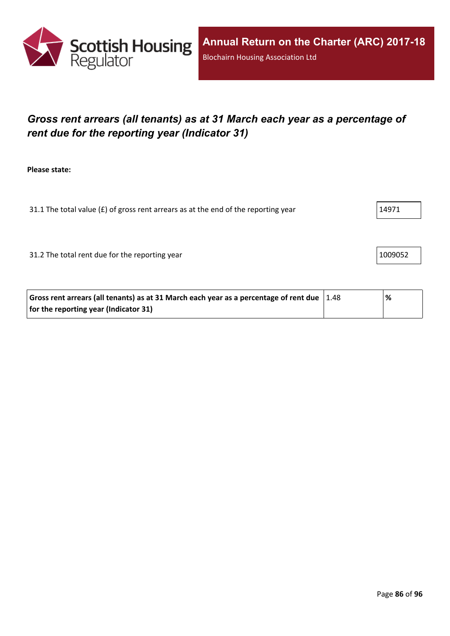

# *Gross rent arrears (all tenants) as at 31 March each year as a percentage of rent due for the reporting year (Indicator 31)*

**Please state:**

31.1 The total value ( $E$ ) of gross rent arrears as at the end of the reporting year  $14971$ 

31.2 The total rent due for the reporting year 1009052

| Gross rent arrears (all tenants) as at 31 March each year as a percentage of rent due $\vert$ 1.48 | % |
|----------------------------------------------------------------------------------------------------|---|
| for the reporting year (Indicator 31)                                                              |   |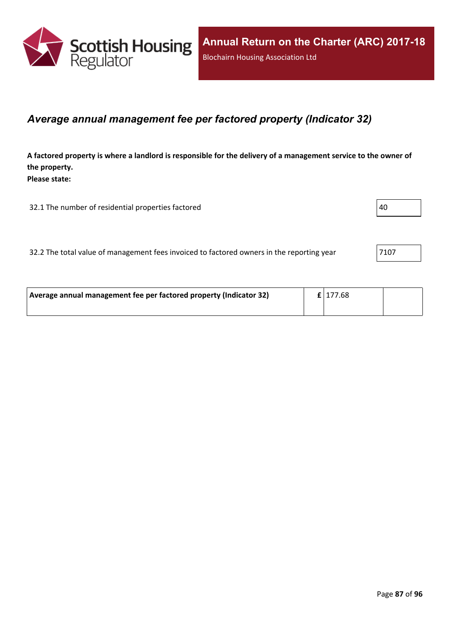

### *Average annual management fee per factored property (Indicator 32)*

A factored property is where a landlord is responsible for the delivery of a management service to the owner of **the property. Please state:**

32.1 The number of residential properties factored  $|40 \rangle$ 

|  |  | 32.2 The total value of management fees invoiced to factored owners in the reporting year | 7107 |
|--|--|-------------------------------------------------------------------------------------------|------|
|--|--|-------------------------------------------------------------------------------------------|------|

| Average annual management fee per factored property (Indicator 32) | $\mathbf{f}$   177.68 |  |
|--------------------------------------------------------------------|-----------------------|--|
|                                                                    |                       |  |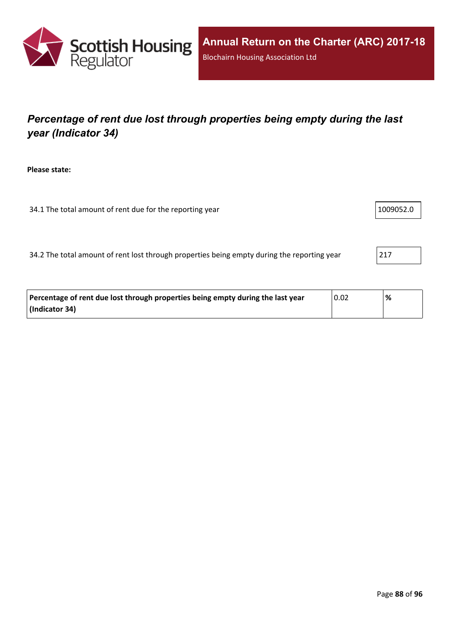

# *Percentage of rent due lost through properties being empty during the last year (Indicator 34)*

**Please state:**

34.1 The total amount of rent due for the reporting year 1009052.0

34.2 The total amount of rent lost through properties being empty during the reporting year 217

| Percentage of rent due lost through properties being empty during the last year | 0.02 | % |
|---------------------------------------------------------------------------------|------|---|
| (Indicator 34)                                                                  |      |   |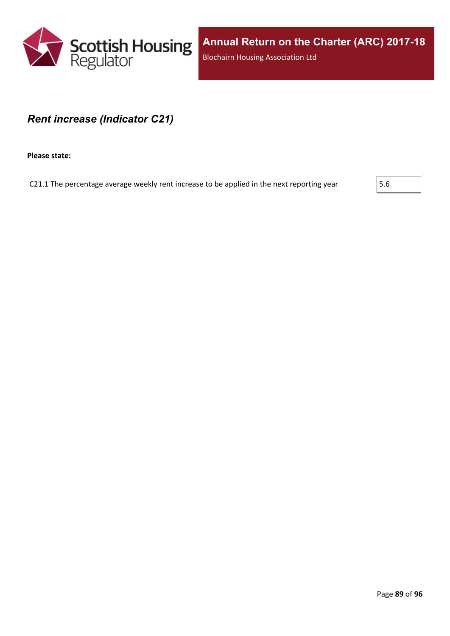

### *Rent increase (Indicator C21)*

**Please state:**

C21.1 The percentage average weekly rent increase to be applied in the next reporting year  $\vert$  5.6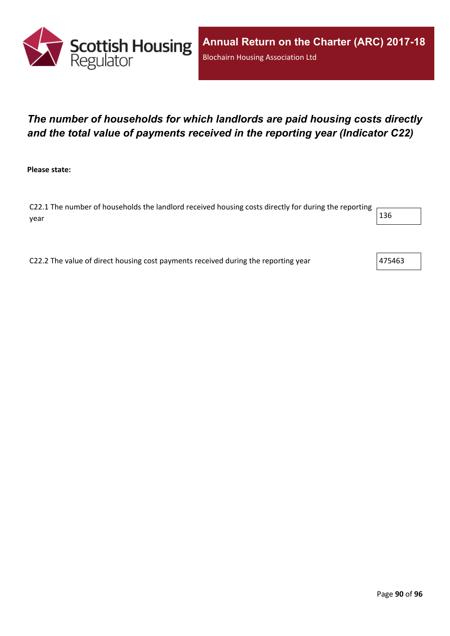

# *The number of households for which landlords are paid housing costs directly and the total value of payments received in the reporting year (Indicator C22)*

**Please state:**

C22.1 The number of households the landlord received housing costs directly for during the reporting year  $\vert$  136  $\vert$ 

C22.2 The value of direct housing cost payments received during the reporting year  $475463$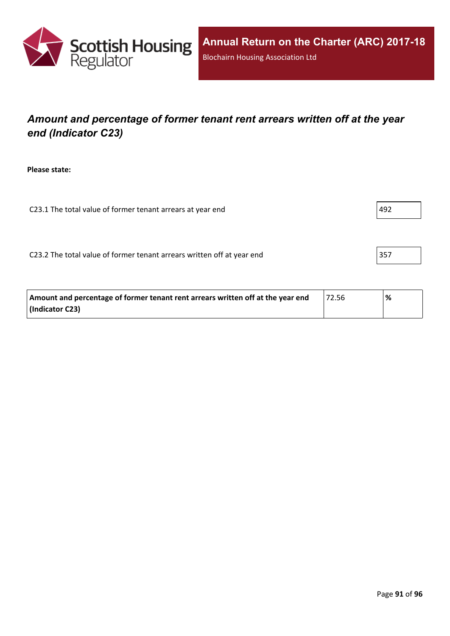

## *Amount and percentage of former tenant rent arrears written off at the year end (Indicator C23)*

**Please state:**

C23.1 The total value of former tenant arrears at year end  $|492 \rangle$ 

C23.2 The total value of former tenant arrears written off at year end  $|357|$ 

| Amount and percentage of former tenant rent arrears written off at the year end | 72.56 | '% |
|---------------------------------------------------------------------------------|-------|----|
| (Indicator C23)                                                                 |       |    |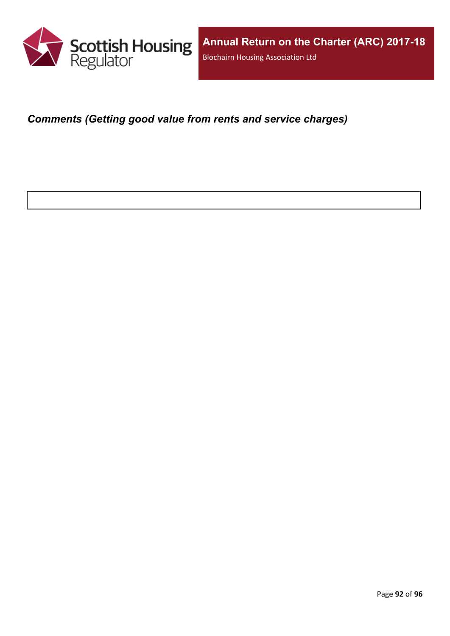

*Comments (Getting good value from rents and service charges)*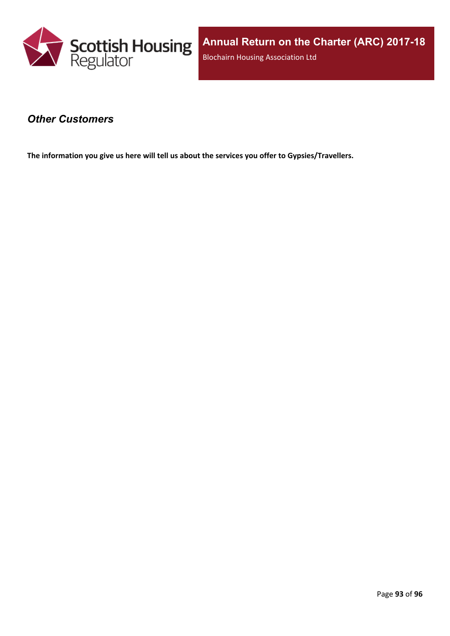

### *Other Customers*

**The information you give us here will tell us about the services you offer to Gypsies/Travellers.**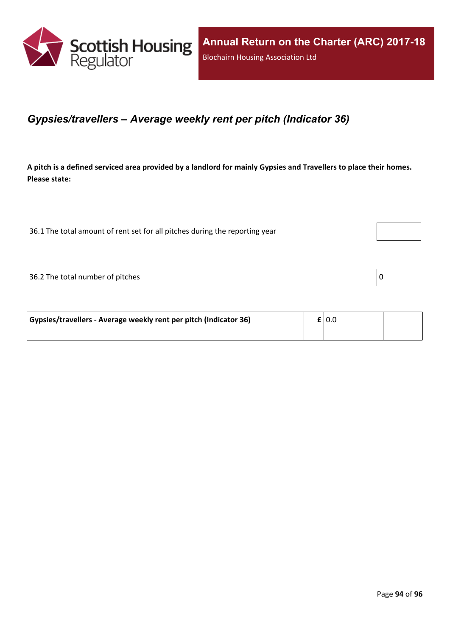

### *Gypsies/travellers – Average weekly rent per pitch (Indicator 36)*

A pitch is a defined serviced area provided by a landlord for mainly Gypsies and Travellers to place their homes. **Please state:**

36.1 The total amount of rent set for all pitches during the reporting year

 $36.2$  The total number of pitches  $\boxed{0}$ 

| Gypsies/travellers - Average weekly rent per pitch (Indicator 36) | $\mathbf{f}$   0.0 |  |
|-------------------------------------------------------------------|--------------------|--|
|                                                                   |                    |  |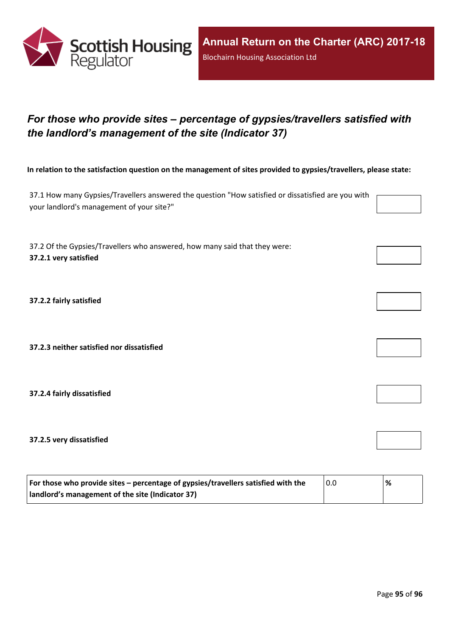

# *For those who provide sites – percentage of gypsies/travellers satisfied with the landlord's management of the site (Indicator 37)*

In relation to the satisfaction question on the management of sites provided to gypsies/travellers, please state:

37.1 How many Gypsies/Travellers answered the question "How satisfied or dissatisfied are you with your landlord's management of your site?"

37.2 Of the Gypsies/Travellers who answered, how many said that they were: **37.2.1 very satisfied**

**37.2.2 fairly satisfied**

**37.2.3 neither satisfied nor dissatisfied**

**37.2.4 fairly dissatisfied**

**37.2.5 very dissatisfied**

| For those who provide sites – percentage of gypsies/travellers satisfied with the | 0.0 | % |
|-----------------------------------------------------------------------------------|-----|---|
| I landlord's management of the site (Indicator 37)                                |     |   |